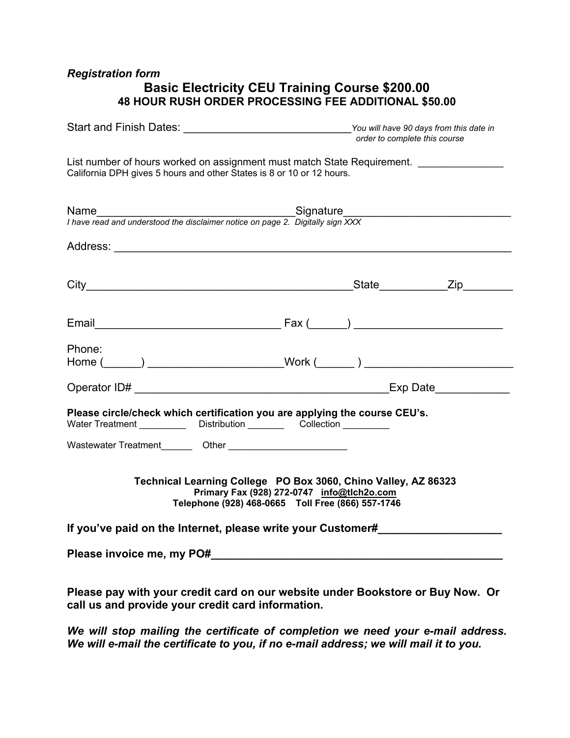## *Registration form*

## **Basic Electricity CEU Training Course \$200.00 48 HOUR RUSH ORDER PROCESSING FEE ADDITIONAL \$50.00**

| Start and Finish Dates:                                                                                                                                   | the contract of the contract of the contract of the contract of the contract of                 | You will have 90 days from this date in<br>order to complete this course |  |  |  |  |  |
|-----------------------------------------------------------------------------------------------------------------------------------------------------------|-------------------------------------------------------------------------------------------------|--------------------------------------------------------------------------|--|--|--|--|--|
| List number of hours worked on assignment must match State Requirement.<br>California DPH gives 5 hours and other States is 8 or 10 or 12 hours.          |                                                                                                 |                                                                          |  |  |  |  |  |
|                                                                                                                                                           |                                                                                                 |                                                                          |  |  |  |  |  |
|                                                                                                                                                           |                                                                                                 |                                                                          |  |  |  |  |  |
|                                                                                                                                                           |                                                                                                 |                                                                          |  |  |  |  |  |
|                                                                                                                                                           |                                                                                                 |                                                                          |  |  |  |  |  |
| Phone:<br>Home (______) ________________________Work (_______) ___________________________                                                                |                                                                                                 |                                                                          |  |  |  |  |  |
|                                                                                                                                                           |                                                                                                 |                                                                          |  |  |  |  |  |
| Please circle/check which certification you are applying the course CEU's.<br>Water Treatment _____________ Distribution __________ Collection __________ |                                                                                                 |                                                                          |  |  |  |  |  |
|                                                                                                                                                           |                                                                                                 |                                                                          |  |  |  |  |  |
| Technical Learning College PO Box 3060, Chino Valley, AZ 86323                                                                                            | Primary Fax (928) 272-0747 info@tlch2o.com<br>Telephone (928) 468-0665 Toll Free (866) 557-1746 |                                                                          |  |  |  |  |  |
| If you've paid on the Internet, please write your Customer#                                                                                               |                                                                                                 |                                                                          |  |  |  |  |  |
|                                                                                                                                                           |                                                                                                 |                                                                          |  |  |  |  |  |
|                                                                                                                                                           |                                                                                                 |                                                                          |  |  |  |  |  |

**Please pay with your credit card on our website under Bookstore or Buy Now. Or call us and provide your credit card information.** 

*We will stop mailing the certificate of completion we need your e-mail address. We will e-mail the certificate to you, if no e-mail address; we will mail it to you.*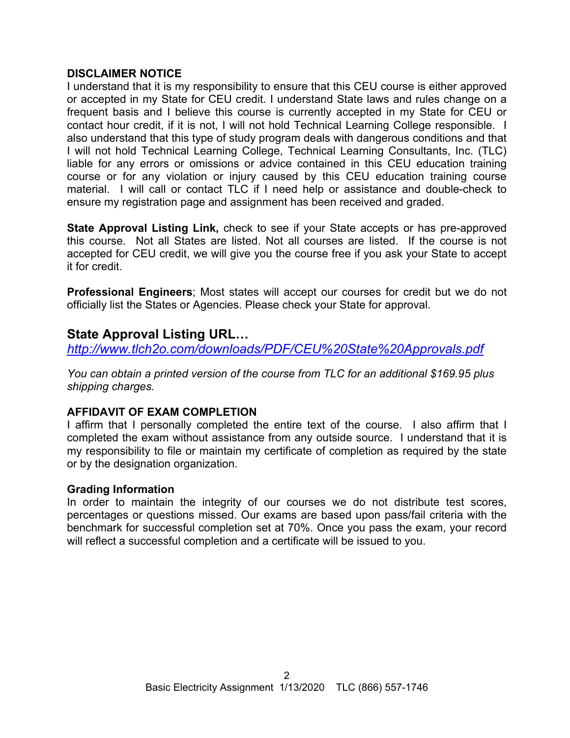## **DISCLAIMER NOTICE**

I understand that it is my responsibility to ensure that this CEU course is either approved or accepted in my State for CEU credit. I understand State laws and rules change on a frequent basis and I believe this course is currently accepted in my State for CEU or contact hour credit, if it is not, I will not hold Technical Learning College responsible. I also understand that this type of study program deals with dangerous conditions and that I will not hold Technical Learning College, Technical Learning Consultants, Inc. (TLC) liable for any errors or omissions or advice contained in this CEU education training course or for any violation or injury caused by this CEU education training course material. I will call or contact TLC if I need help or assistance and double-check to ensure my registration page and assignment has been received and graded.

**State Approval Listing Link,** check to see if your State accepts or has pre-approved this course. Not all States are listed. Not all courses are listed. If the course is not accepted for CEU credit, we will give you the course free if you ask your State to accept it for credit.

**Professional Engineers**; Most states will accept our courses for credit but we do not officially list the States or Agencies. Please check your State for approval.

## **State Approval Listing URL…**

*<http://www.tlch2o.com/downloads/PDF/CEU%20State%20Approvals.pdf>*

*You can obtain a printed version of the course from TLC for an additional \$169.95 plus shipping charges.* 

## **AFFIDAVIT OF EXAM COMPLETION**

I affirm that I personally completed the entire text of the course. I also affirm that I completed the exam without assistance from any outside source. I understand that it is my responsibility to file or maintain my certificate of completion as required by the state or by the designation organization.

## **Grading Information**

In order to maintain the integrity of our courses we do not distribute test scores, percentages or questions missed. Our exams are based upon pass/fail criteria with the benchmark for successful completion set at 70%. Once you pass the exam, your record will reflect a successful completion and a certificate will be issued to you.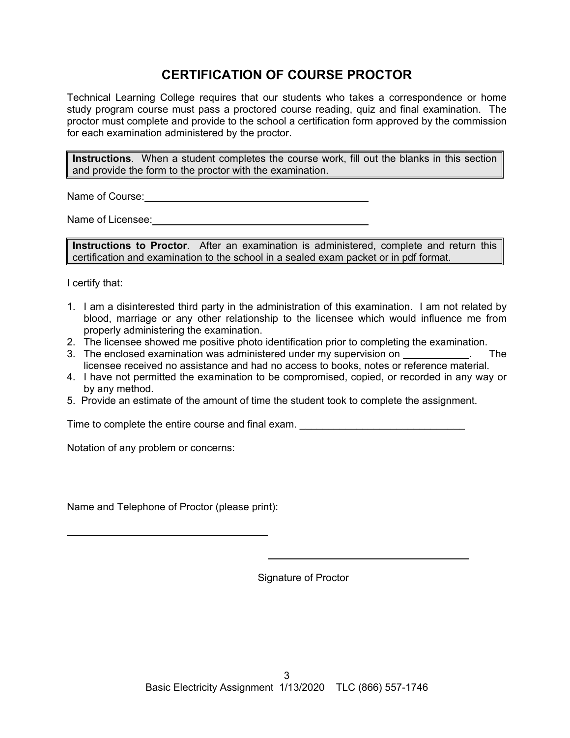## **CERTIFICATION OF COURSE PROCTOR**

Technical Learning College requires that our students who takes a correspondence or home study program course must pass a proctored course reading, quiz and final examination. The proctor must complete and provide to the school a certification form approved by the commission for each examination administered by the proctor.

**Instructions**. When a student completes the course work, fill out the blanks in this section and provide the form to the proctor with the examination.

Name of Course: **Name of Course:** 

Name of Licensee: **Name of Licensee:** 

**Instructions to Proctor**. After an examination is administered, complete and return this certification and examination to the school in a sealed exam packet or in pdf format.

I certify that:

 $\overline{a}$ 

- 1. I am a disinterested third party in the administration of this examination. I am not related by blood, marriage or any other relationship to the licensee which would influence me from properly administering the examination.
- 2. The licensee showed me positive photo identification prior to completing the examination.
- 3. The enclosed examination was administered under my supervision on **Example 2.** The licensee received no assistance and had no access to books, notes or reference material.
- 4. I have not permitted the examination to be compromised, copied, or recorded in any way or by any method.
- 5. Provide an estimate of the amount of time the student took to complete the assignment.

Time to complete the entire course and final exam.

Notation of any problem or concerns:

Name and Telephone of Proctor (please print):

Signature of Proctor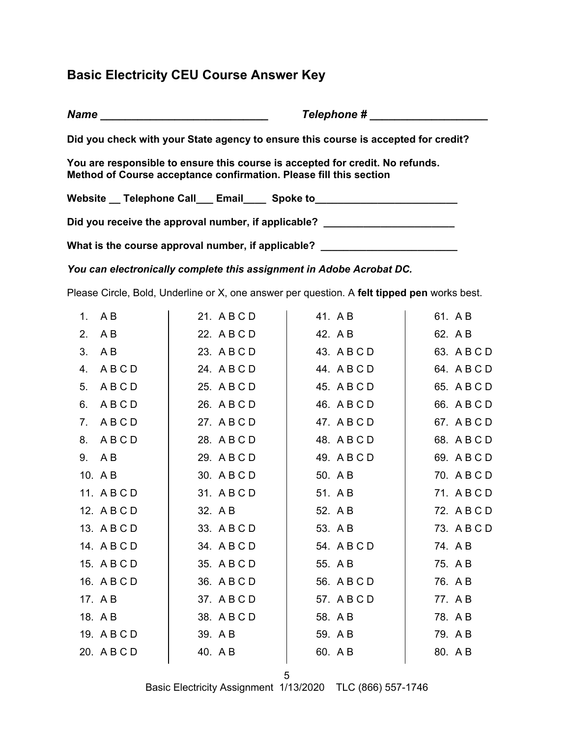## **Basic Electricity CEU Course Answer Key**

*Name* **Example 2** *Name name name name name name name name name name name name name name name name name name name name name name nam* **Did you check with your State agency to ensure this course is accepted for credit? You are responsible to ensure this course is accepted for credit. No refunds. Method of Course acceptance confirmation. Please fill this section**  Website \_\_ Telephone Call \_\_\_ Email \_\_\_\_ Spoke to \_\_\_\_\_\_\_\_\_\_\_\_\_\_\_\_\_\_\_\_\_\_\_\_\_\_\_\_\_\_ Did you receive the approval number, if applicable? \_\_\_\_\_\_\_\_\_\_\_\_\_\_\_\_\_\_\_\_\_\_\_\_\_\_\_\_ What is the course approval number, if applicable? \_\_\_\_\_\_\_\_\_\_\_\_\_\_\_\_\_\_\_\_\_\_\_\_\_\_\_\_\_

*You can electronically complete this assignment in Adobe Acrobat DC.* 

Please Circle, Bold, Underline or X, one answer per question. A **felt tipped pen** works best.

|    | 1. $AB$     | 21. A B C D | 41. AB      | 61. AB      |
|----|-------------|-------------|-------------|-------------|
| 2. | A B         | 22. A B C D | 42. A B     | 62. A B     |
| 3. | A B         | 23. A B C D | 43. A B C D | 63. A B C D |
| 4. | ABCD        | 24. A B C D | 44. A B C D | 64. A B C D |
| 5. | ABCD        | 25. A B C D | 45. A B C D | 65. A B C D |
| 6. | ABCD        | 26. A B C D | 46. A B C D | 66. A B C D |
| 7. | ABCD        | 27. ABCD    | 47. A B C D | 67. A B C D |
| 8. | ABCD        | 28. A B C D | 48. A B C D | 68. A B C D |
|    | 9. AB       | 29. A B C D | 49. A B C D | 69. A B C D |
|    | 10. A B     | 30. A B C D | 50. A B     | 70. A B C D |
|    | 11. A B C D | 31. A B C D | 51. AB      | 71. ABCD    |
|    | 12. A B C D | 32. A B     | 52. A B     | 72. A B C D |
|    | 13. A B C D | 33. A B C D | 53. A B     | 73. A B C D |
|    | 14. ABCD    | 34. A B C D | 54. ABCD    | 74. AB      |
|    | 15. A B C D | 35. A B C D | 55. A B     | 75. A B     |
|    | 16. A B C D | 36. A B C D | 56. A B C D | 76. A B     |
|    | 17. A B     | 37. A B C D | 57. A B C D | 77. AB      |
|    | 18. AB      | 38. A B C D | 58. A B     | 78. AB      |
|    | 19. A B C D | 39. A B     | 59. A B     | 79. AB      |
|    | 20. A B C D | 40. AB      | 60. A B     | 80. A B     |
|    |             |             |             |             |

5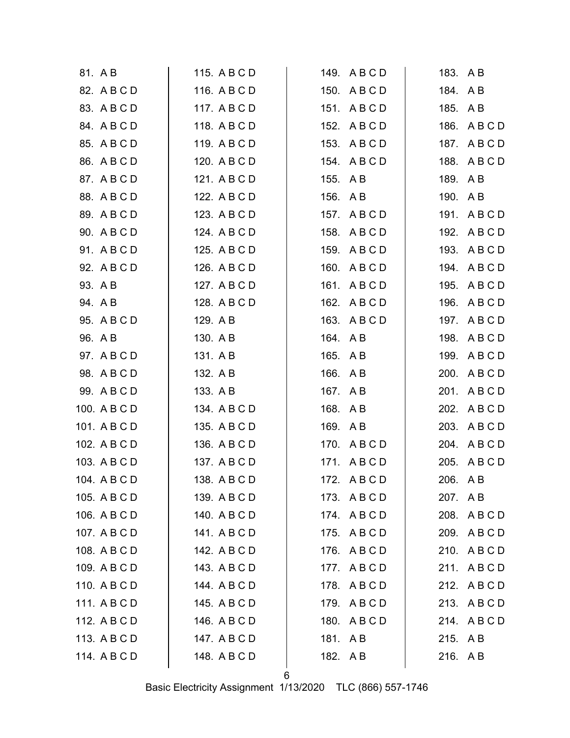| 81. AB       | 115. A B C D | 149. A B C D | 183. AB      |
|--------------|--------------|--------------|--------------|
| 82. A B C D  | 116. A B C D | 150. ABCD    | 184. AB      |
| 83. A B C D  | 117. A B C D | 151. ABCD    | 185. AB      |
| 84. A B C D  | 118. A B C D | 152. ABCD    | 186. A B C D |
| 85. A B C D  | 119. A B C D | 153. A B C D | 187. A B C D |
| 86. A B C D  | 120. A B C D | 154. A B C D | 188. A B C D |
| 87. A B C D  | 121. A B C D | 155. A B     | 189. AB      |
| 88. A B C D  | 122. A B C D | 156. AB      | 190. A B     |
| 89. A B C D  | 123. A B C D | 157. A B C D | 191. ABCD    |
| 90. A B C D  | 124. A B C D | 158. A B C D | 192. A B C D |
| 91. A B C D  | 125. A B C D | 159. A B C D | 193. A B C D |
| 92. A B C D  | 126. A B C D | 160. A B C D | 194. A B C D |
| 93. A B      | 127. A B C D | 161. ABCD    | 195. A B C D |
| 94. AB       | 128. A B C D | 162. A B C D | 196. A B C D |
| 95. A B C D  | 129. A B     | 163. A B C D | 197. A B C D |
| 96. A B      | 130. A B     | 164. AB      | 198. ABCD    |
| 97. A B C D  | 131. A B     | 165. A B     | 199. A B C D |
| 98. A B C D  | 132. A B     | 166. A B     | 200. A B C D |
| 99. A B C D  | 133. A B     | 167. A B     | 201. A B C D |
| 100. A B C D | 134. A B C D | 168. A B     | 202. A B C D |
| 101. A B C D | 135. A B C D | 169. AB      | 203. A B C D |
| 102. A B C D | 136. A B C D | 170. ABCD    | 204. A B C D |
| 103. A B C D | 137. A B C D | 171. ABCD    | 205. A B C D |
| 104. A B C D | 138. A B C D | 172. A B C D | 206. AB      |
| 105. A B C D | 139. A B C D | 173. ABCD    | 207. AB      |
| 106. A B C D | 140. A B C D | 174. ABCD    | 208. ABCD    |
| 107. ABCD    | 141. A B C D | 175. ABCD    | 209. ABCD    |
| 108. A B C D | 142. A B C D | 176. A B C D | 210. ABCD    |
| 109. A B C D | 143. A B C D | 177. ABCD    | 211. ABCD    |
| 110. A B C D | 144. A B C D | 178. ABCD    | 212. ABCD    |
| 111. ABCD    | 145. A B C D | 179. ABCD    | 213. ABCD    |
| 112. A B C D | 146. A B C D | 180. ABCD    | 214. ABCD    |
| 113. A B C D | 147. A B C D | 181. AB      | 215. AB      |
| 114. A B C D | 148. A B C D | 182. AB      | 216. AB      |
|              |              |              |              |

6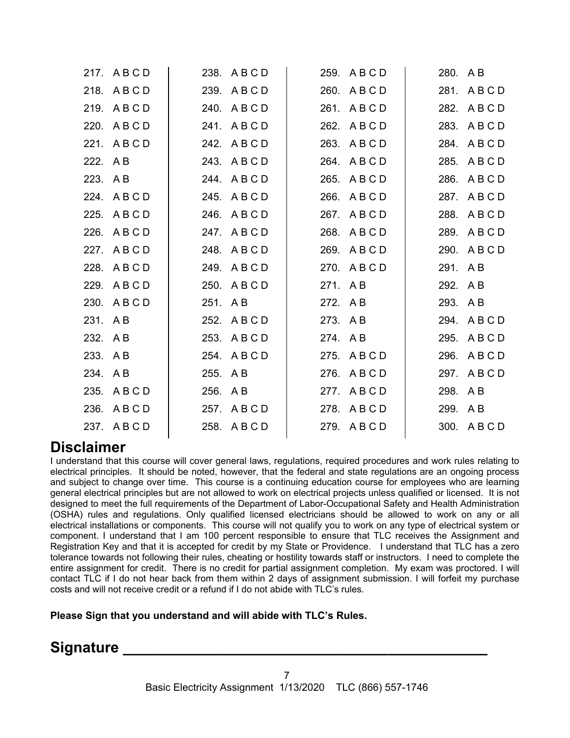| 217. ABCD    |      |                                                                                                                                                                                                                                                                    |                                                                                                                                                                                                                                                                       |                                                                |
|--------------|------|--------------------------------------------------------------------------------------------------------------------------------------------------------------------------------------------------------------------------------------------------------------------|-----------------------------------------------------------------------------------------------------------------------------------------------------------------------------------------------------------------------------------------------------------------------|----------------------------------------------------------------|
| 218. ABCD    |      |                                                                                                                                                                                                                                                                    |                                                                                                                                                                                                                                                                       | 281. ABCD                                                      |
| 219. ABCD    |      |                                                                                                                                                                                                                                                                    |                                                                                                                                                                                                                                                                       | 282. ABCD                                                      |
| 220. ABCD    |      |                                                                                                                                                                                                                                                                    |                                                                                                                                                                                                                                                                       | 283. ABCD                                                      |
| 221. ABCD    |      |                                                                                                                                                                                                                                                                    |                                                                                                                                                                                                                                                                       | 284. ABCD                                                      |
| 222. AB      |      |                                                                                                                                                                                                                                                                    |                                                                                                                                                                                                                                                                       | 285. ABCD                                                      |
| 223. AB      |      |                                                                                                                                                                                                                                                                    |                                                                                                                                                                                                                                                                       | 286. ABCD                                                      |
| 224. ABCD    | 245. |                                                                                                                                                                                                                                                                    |                                                                                                                                                                                                                                                                       | 287. ABCD                                                      |
| 225. ABCD    |      |                                                                                                                                                                                                                                                                    |                                                                                                                                                                                                                                                                       | 288. ABCD                                                      |
| 226. ABCD    |      |                                                                                                                                                                                                                                                                    |                                                                                                                                                                                                                                                                       | 289. ABCD                                                      |
| 227. ABCD    |      |                                                                                                                                                                                                                                                                    |                                                                                                                                                                                                                                                                       | 290. ABCD                                                      |
| 228. ABCD    |      |                                                                                                                                                                                                                                                                    |                                                                                                                                                                                                                                                                       |                                                                |
| ABCD<br>229. |      |                                                                                                                                                                                                                                                                    |                                                                                                                                                                                                                                                                       |                                                                |
| 230. ABCD    |      |                                                                                                                                                                                                                                                                    |                                                                                                                                                                                                                                                                       |                                                                |
| 231. AB      |      |                                                                                                                                                                                                                                                                    |                                                                                                                                                                                                                                                                       | 294. ABCD                                                      |
| 232. AB      |      |                                                                                                                                                                                                                                                                    |                                                                                                                                                                                                                                                                       | 295. ABCD                                                      |
| 233. AB      |      |                                                                                                                                                                                                                                                                    |                                                                                                                                                                                                                                                                       | 296. A B C D                                                   |
| 234. AB      |      |                                                                                                                                                                                                                                                                    |                                                                                                                                                                                                                                                                       | 297. ABCD                                                      |
| 235. A B C D |      |                                                                                                                                                                                                                                                                    |                                                                                                                                                                                                                                                                       |                                                                |
| 236. ABCD    |      |                                                                                                                                                                                                                                                                    |                                                                                                                                                                                                                                                                       |                                                                |
| 237. ABCD    |      |                                                                                                                                                                                                                                                                    |                                                                                                                                                                                                                                                                       | 300. A B C D                                                   |
|              |      | 238. ABCD<br>239. ABCD<br>240. ABCD<br>241. ABCD<br>242. ABCD<br>243. ABCD<br>244. ABCD<br>ABCD<br>246. ABCD<br>247. ABCD<br>248. ABCD<br>249. ABCD<br>250. ABCD<br>251. AB<br>252. ABCD<br>253. ABCD<br>254. ABCD<br>255. AB<br>256. AB<br>257. ABCD<br>258. ABCD | 259. ABCD<br>260. ABCD<br>261. ABCD<br>262. ABCD<br>263. ABCD<br>264. ABCD<br>265. ABCD<br>266. ABCD<br>267. ABCD<br>268. ABCD<br>269. ABCD<br>270. ABCD<br>271. AB<br>272. AB<br>273. AB<br>274. AB<br>275. ABCD<br>276. ABCD<br>277. ABCD<br>278. ABCD<br>279. ABCD | 280. AB<br>291. AB<br>292. AB<br>293. AB<br>298. AB<br>299. AB |

# **Disclaimer**

I understand that this course will cover general laws, regulations, required procedures and work rules relating to electrical principles. It should be noted, however, that the federal and state regulations are an ongoing process and subject to change over time. This course is a continuing education course for employees who are learning general electrical principles but are not allowed to work on electrical projects unless qualified or licensed. It is not designed to meet the full requirements of the Department of Labor-Occupational Safety and Health Administration (OSHA) rules and regulations. Only qualified licensed electricians should be allowed to work on any or all electrical installations or components. This course will not qualify you to work on any type of electrical system or component. I understand that I am 100 percent responsible to ensure that TLC receives the Assignment and Registration Key and that it is accepted for credit by my State or Providence. I understand that TLC has a zero tolerance towards not following their rules, cheating or hostility towards staff or instructors. I need to complete the entire assignment for credit. There is no credit for partial assignment completion. My exam was proctored. I will contact TLC if I do not hear back from them within 2 days of assignment submission. I will forfeit my purchase costs and will not receive credit or a refund if I do not abide with TLC's rules.

**Please Sign that you understand and will abide with TLC's Rules.** 

Signature \_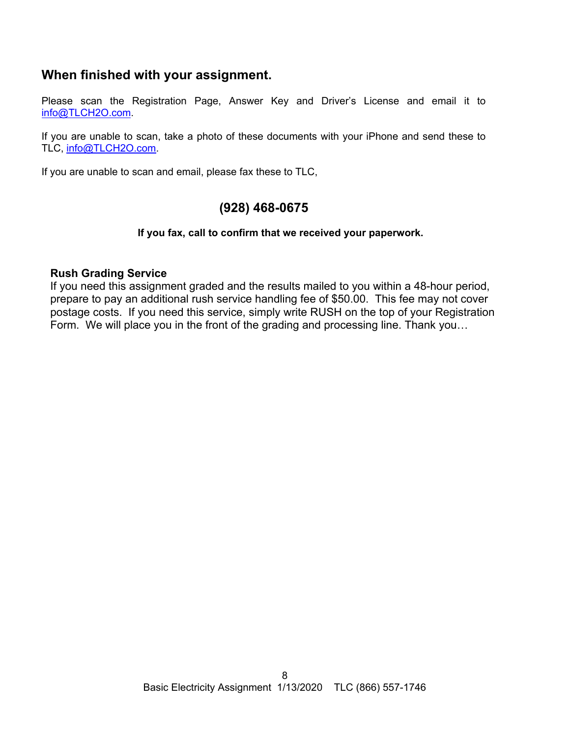## **When finished with your assignment.**

Please scan the Registration Page, Answer Key and Driver's License and email it to [info@TLCH2O.com.](mailto:info@TLCH2O.com) 

If you are unable to scan, take a photo of these documents with your iPhone and send these to TLC, [info@TLCH2O.com.](mailto:info@TLCH2O.com) 

If you are unable to scan and email, please fax these to TLC,

## **(928) 468-0675**

## **If you fax, call to confirm that we received your paperwork.**

## **Rush Grading Service**

If you need this assignment graded and the results mailed to you within a 48-hour period, prepare to pay an additional rush service handling fee of \$50.00. This fee may not cover postage costs. If you need this service, simply write RUSH on the top of your Registration Form. We will place you in the front of the grading and processing line. Thank you…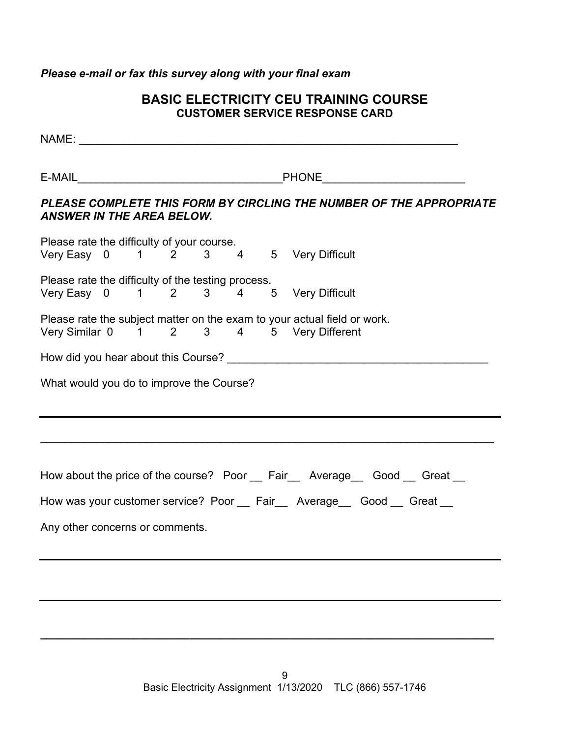## *Please e-mail or fax this survey along with your final exam*

## **BASIC ELECTRICITY CEU TRAINING COURSE CUSTOMER SERVICE RESPONSE CARD**

|                                                    | E-MAIL PHONE PHONE |  |  |  |  |  |                                                                                                                     |  |
|----------------------------------------------------|--------------------|--|--|--|--|--|---------------------------------------------------------------------------------------------------------------------|--|
| <b>ANSWER IN THE AREA BELOW.</b>                   |                    |  |  |  |  |  | PLEASE COMPLETE THIS FORM BY CIRCLING THE NUMBER OF THE APPROPRIATE                                                 |  |
|                                                    |                    |  |  |  |  |  |                                                                                                                     |  |
|                                                    |                    |  |  |  |  |  | Please rate the difficulty of your course.<br>Very Easy 0 1 2 3 4 5 Very Difficult                                  |  |
| Please rate the difficulty of the testing process. |                    |  |  |  |  |  |                                                                                                                     |  |
|                                                    |                    |  |  |  |  |  | Very Easy 0 1 2 3 4 5 Very Difficult                                                                                |  |
|                                                    |                    |  |  |  |  |  | Please rate the subject matter on the exam to your actual field or work.<br>Very Similar 0 1 2 3 4 5 Very Different |  |
|                                                    |                    |  |  |  |  |  |                                                                                                                     |  |
| What would you do to improve the Course?           |                    |  |  |  |  |  |                                                                                                                     |  |
|                                                    |                    |  |  |  |  |  |                                                                                                                     |  |
|                                                    |                    |  |  |  |  |  | How about the price of the course? Poor Fair Average Good Great                                                     |  |
|                                                    |                    |  |  |  |  |  | How was your customer service? Poor __ Fair __ Average __ Good __ Great __                                          |  |
| Any other concerns or comments.                    |                    |  |  |  |  |  |                                                                                                                     |  |
|                                                    |                    |  |  |  |  |  |                                                                                                                     |  |

**\_\_\_\_\_\_\_\_\_\_\_\_\_\_\_\_\_\_\_\_\_\_\_\_\_\_\_\_\_\_\_\_\_\_\_\_\_\_\_\_\_\_\_\_\_\_\_\_\_\_\_\_\_\_\_\_\_\_\_\_\_\_\_\_\_\_\_\_\_\_\_\_\_**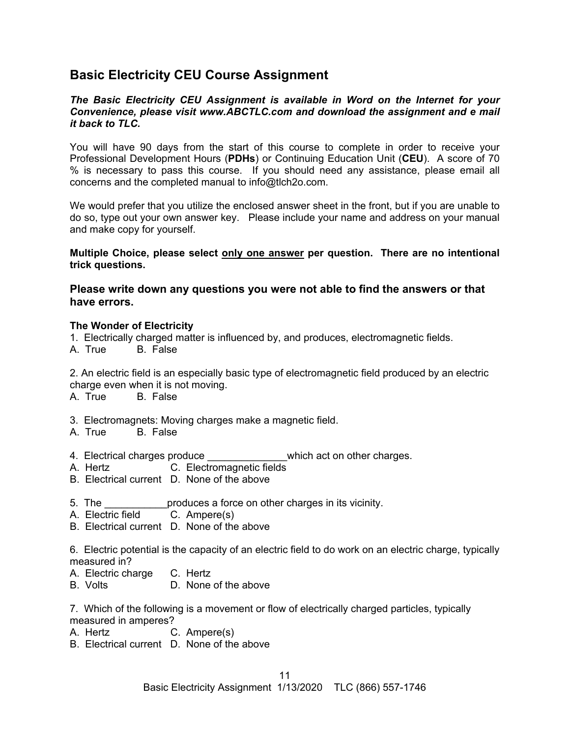## **Basic Electricity CEU Course Assignment**

#### *The Basic Electricity CEU Assignment is available in Word on the Internet for your Convenience, please visit [www.ABCTLC.com an](http://www.ABCTLC.com)d download the assignment and e mail it back to TLC.*

You will have 90 days from the start of this course to complete in order to receive your Professional Development Hours (**PDHs**) or Continuing Education Unit (**CEU**). A score of 70 % is necessary to pass this course. If you should need any assistance, please email all concerns and the completed manual to [info@tlch2o.com.](mailto:info@tlch2o.com) 

We would prefer that you utilize the enclosed answer sheet in the front, but if you are unable to do so, type out your own answer key. Please include your name and address on your manual and make copy for yourself.

**Multiple Choice, please select only one answer per question. There are no intentional trick questions.** 

## **Please write down any questions you were not able to find the answers or that have errors.**

#### **The Wonder of Electricity**

- 1. Electrically charged matter is influenced by, and produces, electromagnetic fields.
- A. True B. False

2. An electric field is an especially basic type of electromagnetic field produced by an electric charge even when it is not moving.

A. True B. False

- 3. Electromagnets: Moving charges make a magnetic field.
- A. True B. False
- 4. Electrical charges produce which act on other charges.
- A. Hertz C. Electromagnetic fields
- B. Electrical current D. None of the above
- 5. The **Example 20** produces a force on other charges in its vicinity.
- A. Electric field C. Ampere(s)
- B. Electrical current D. None of the above

6. Electric potential is the capacity of an electric field to do work on an electric charge, typically measured in?

A. Electric charge C. Hertz

B. Volts D. None of the above

7. Which of the following is a movement or flow of electrically charged particles, typically measured in amperes?

- A. Hertz C. Ampere(s)
- B. Electrical current D. None of the above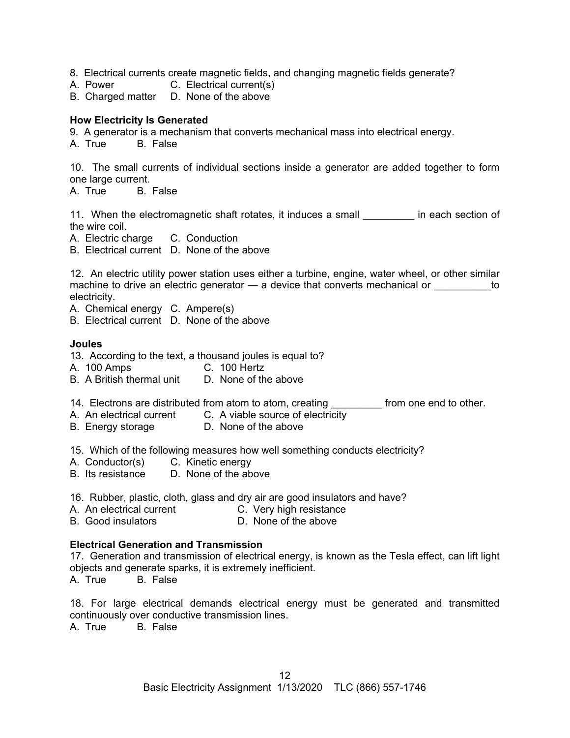8. Electrical currents create magnetic fields, and changing magnetic fields generate?

- A. Power C. Electrical current(s)
- B. Charged matter D. None of the above

#### **How Electricity Is Generated**

9. A generator is a mechanism that converts mechanical mass into electrical energy.

A. True B. False

10. The small currents of individual sections inside a generator are added together to form one large current.

A. True B. False

11. When the electromagnetic shaft rotates, it induces a small **in** each section of the wire coil.

A. Electric charge C. Conduction

B. Electrical current D. None of the above

12. An electric utility power station uses either a turbine, engine, water wheel, or other similar machine to drive an electric generator — a device that converts mechanical or  $\qquad \qquad$  to electricity.

A. Chemical energy C. Ampere(s)

B. Electrical current D. None of the above

#### **Joules**

- 13. According to the text, a thousand joules is equal to?
- A. 100 Amps C. 100 Hertz
- B. A British thermal unit D. None of the above
- 14. Electrons are distributed from atom to atom, creating \_\_\_\_\_\_\_\_\_\_ from one end to other.
- A. An electrical current C. A viable source of electricity
- B. Energy storage **D. None of the above**

15. Which of the following measures how well something conducts electricity?

- A. Conductor(s) C. Kinetic energy
- B. Its resistance D. None of the above
- 16. Rubber, plastic, cloth, glass and dry air are good insulators and have?
- A. An electrical current C. Very high resistance
- B. Good insulators **B.** D. None of the above

#### **Electrical Generation and Transmission**

17. Generation and transmission of electrical energy, is known as the Tesla effect, can lift light objects and generate sparks, it is extremely inefficient.

A. True B. False

18. For large electrical demands electrical energy must be generated and transmitted continuously over conductive transmission lines.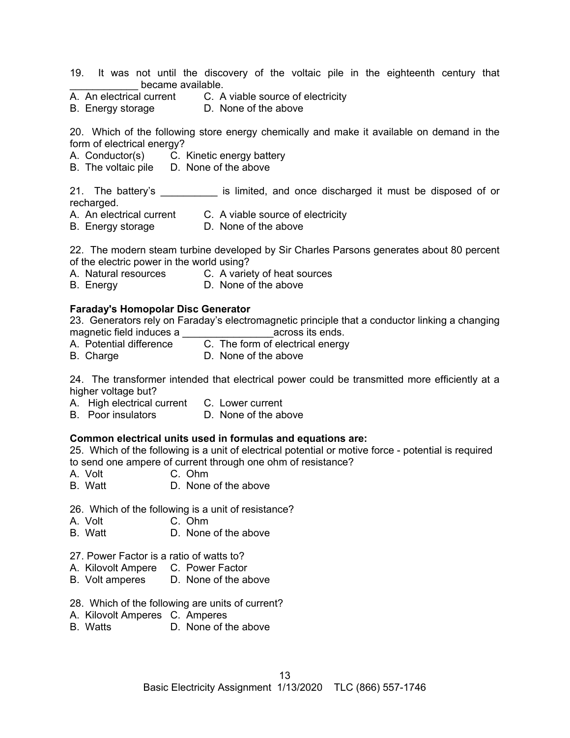- 19. It was not until the discovery of the voltaic pile in the eighteenth century that became available.
- A. An electrical current C. A viable source of electricity
- B. Energy storage D. None of the above

20. Which of the following store energy chemically and make it available on demand in the form of electrical energy?

- A. Conductor(s) C. Kinetic energy battery
- B. The voltaic pile D. None of the above

21. The battery's extending is limited, and once discharged it must be disposed of or recharged.

- A. An electrical current C. A viable source of electricity
- B. Energy storage D. None of the above

22. The modern steam turbine developed by Sir Charles Parsons generates about 80 percent of the electric power in the world using?

- A. Natural resources C. A variety of heat sources
- B. Energy **D. None of the above**

#### **Faraday's Homopolar Disc Generator**

23. Generators rely on Faraday's electromagnetic principle that a conductor linking a changing magnetic field induces a \_\_\_\_\_\_\_\_\_\_\_\_\_\_\_\_across its ends.

- A. Potential difference C. The form of electrical energy
- B. Charge **D. None of the above**

24. The transformer intended that electrical power could be transmitted more efficiently at a higher voltage but?

- A. High electrical current C. Lower current
- B. Poor insulators D. None of the above

#### **Common electrical units used in formulas and equations are:**

25. Which of the following is a unit of electrical potential or motive force - potential is required to send one ampere of current through one ohm of resistance?

- A. Volt C. Ohm
- B. Watt D. None of the above
- 26. Which of the following is a unit of resistance?
- A. Volt C. Ohm
- B. Watt D. None of the above
- 27. Power Factor is a ratio of watts to?
- A. Kilovolt Ampere C. Power Factor
- B. Volt amperes D. None of the above
- 28. Which of the following are units of current?
- A. Kilovolt Amperes C. Amperes
- B. Watts D. None of the above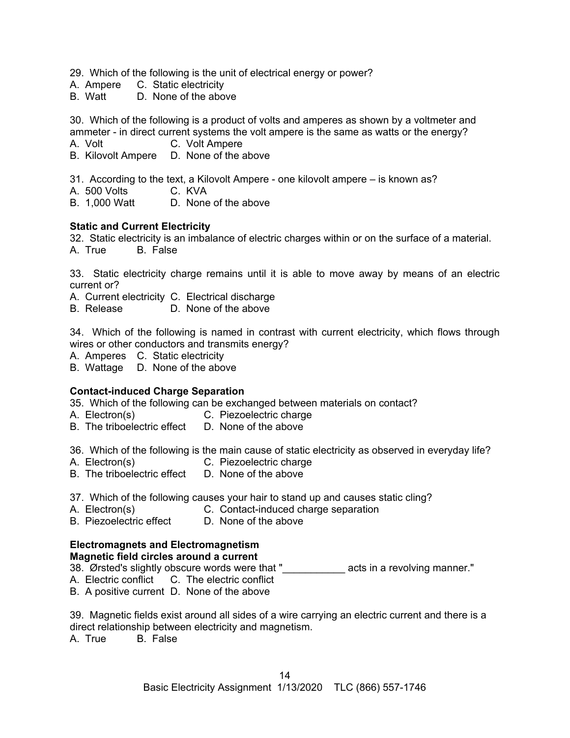29. Which of the following is the unit of electrical energy or power?

- A. Ampere C. Static electricity
- B. Watt D. None of the above

30. Which of the following is a product of volts and amperes as shown by a voltmeter and ammeter - in direct current systems the volt ampere is the same as watts or the energy?

- A. Volt C. Volt Ampere
- B. Kilovolt Ampere D. None of the above
- 31. According to the text, a Kilovolt Ampere one kilovolt ampere is known as?
- A. 500 Volts C. KVA
- B. 1,000 Watt D. None of the above

#### **Static and Current Electricity**

32. Static electricity is an imbalance of electric charges within or on the surface of a material.

A. True B. False

33. Static electricity charge remains until it is able to move away by means of an electric current or?

A. Current electricity C. Electrical discharge

B. Release D. None of the above

34. Which of the following is named in contrast with current electricity, which flows through wires or other conductors and transmits energy?

- A. Amperes C. Static electricity
- B. Wattage D. None of the above

## **Contact-induced Charge Separation**

35. Which of the following can be exchanged between materials on contact?

- A. Electron(s) C. Piezoelectric charge
- B. The triboelectric effect D. None of the above

36. Which of the following is the main cause of static electricity as observed in everyday life?

- A. Electron(s) C. Piezoelectric charge
- B. The triboelectric effect D. None of the above

37. Which of the following causes your hair to stand up and causes static cling?

- A. Electron(s) C. Contact-induced charge separation
- B. Piezoelectric effect D. None of the above

## **Electromagnets and Electromagnetism**

#### **Magnetic field circles around a current**

38. Ørsted's slightly obscure words were that " acts in a revolving manner."

- A. Electric conflict C. The electric conflict
- B. A positive current D. None of the above

39. Magnetic fields exist around all sides of a wire carrying an electric current and there is a direct relationship between electricity and magnetism.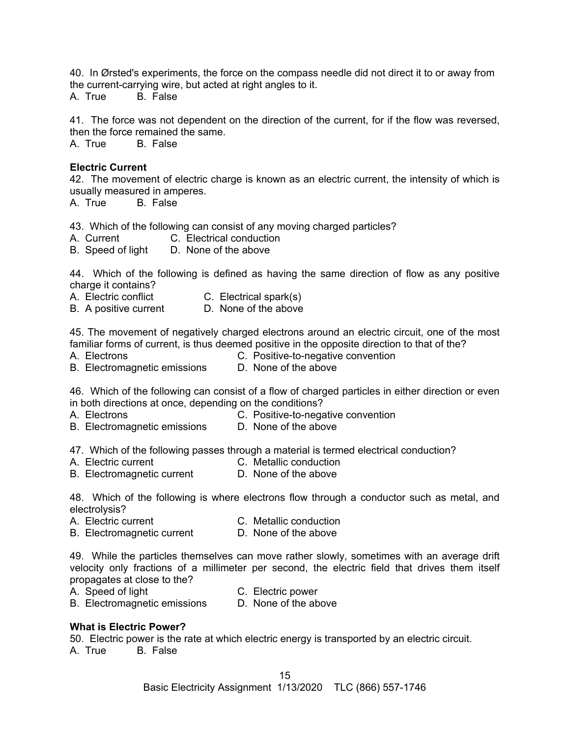40. In Ørsted's experiments, the force on the compass needle did not direct it to or away from the current-carrying wire, but acted at right angles to it.

A. True B. False

41. The force was not dependent on the direction of the current, for if the flow was reversed, then the force remained the same.

A. True B. False

#### **Electric Current**

42. The movement of electric charge is known as an electric current, the intensity of which is usually measured in amperes.

A. True B. False

43. Which of the following can consist of any moving charged particles?

- A. Current C. Electrical conduction
- B. Speed of light D. None of the above

44. Which of the following is defined as having the same direction of flow as any positive charge it contains?

- A. Electric conflict C. Electrical spark(s)
- B. A positive current D. None of the above

45. The movement of negatively charged electrons around an electric circuit, one of the most familiar forms of current, is thus deemed positive in the opposite direction to that of the?

- 
- A. Electrons C. Positive-to-negative convention
- B. Electromagnetic emissions D. None of the above

46. Which of the following can consist of a flow of charged particles in either direction or even in both directions at once, depending on the conditions?

- 
- A. Electrons C. Positive-to-negative convention
- B. Electromagnetic emissions D. None of the above

47. Which of the following passes through a material is termed electrical conduction?

- A. Electric current C. Metallic conduction
	-
- B. Electromagnetic current D. None of the above

48. Which of the following is where electrons flow through a conductor such as metal, and electrolysis?

- A. Electric current C. Metallic conduction
- B. Electromagnetic current D. None of the above

49. While the particles themselves can move rather slowly, sometimes with an average drift velocity only fractions of a millimeter per second, the electric field that drives them itself propagates at close to the?

- 
- A. Speed of light C. Electric power
- B. Electromagnetic emissions D. None of the above

#### **What is Electric Power?**

50. Electric power is the rate at which electric energy is transported by an electric circuit.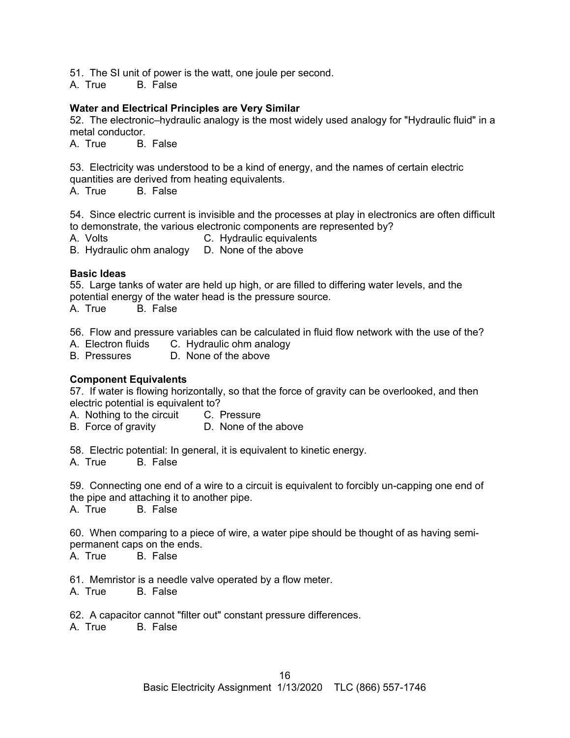51. The SI unit of power is the watt, one joule per second.

A. True B. False

## **Water and Electrical Principles are Very Similar**

52. The electronic–hydraulic analogy is the most widely used analogy for "Hydraulic fluid" in a metal conductor.<br>A. True B

**B.** False

53. Electricity was understood to be a kind of energy, and the names of certain electric quantities are derived from heating equivalents.<br>A True B False

B. False

54. Since electric current is invisible and the processes at play in electronics are often difficult to demonstrate, the various electronic components are represented by?

A. Volts **C.** Hydraulic equivalents

B. Hydraulic ohm analogy D. None of the above

## **Basic Ideas**

55. Large tanks of water are held up high, or are filled to differing water levels, and the potential energy of the water head is the pressure source.

A. True B. False

56. Flow and pressure variables can be calculated in fluid flow network with the use of the?

- A. Electron fluids C. Hydraulic ohm analogy
- B. Pressures D. None of the above

## **Component Equivalents**

57. If water is flowing horizontally, so that the force of gravity can be overlooked, and then electric potential is equivalent to?

A. Nothing to the circuit C. Pressure

B. Force of gravity D. None of the above

58. Electric potential: In general, it is equivalent to kinetic energy.

A. True B. False

59. Connecting one end of a wire to a circuit is equivalent to forcibly un-capping one end of the pipe and attaching it to another pipe.

A. True B. False

60. When comparing to a piece of wire, a water pipe should be thought of as having semipermanent caps on the ends.

A. True B. False

61. Memristor is a needle valve operated by a flow meter.

A. True B. False

62. A capacitor cannot "filter out" constant pressure differences.<br>A True B False

 $A$  True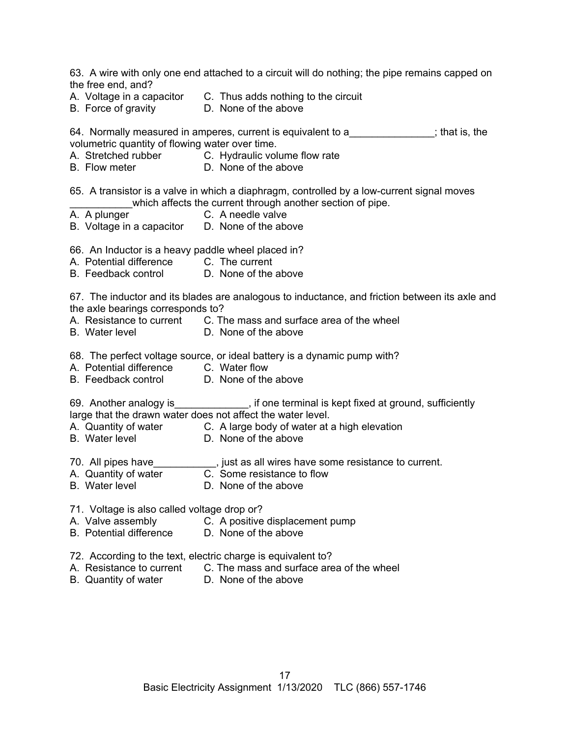| the free end, and?                                                                 | 63. A wire with only one end attached to a circuit will do nothing; the pipe remains capped on                                                           |
|------------------------------------------------------------------------------------|----------------------------------------------------------------------------------------------------------------------------------------------------------|
| B. Force of gravity <b>D.</b> None of the above                                    | A. Voltage in a capacitor C. Thus adds nothing to the circuit                                                                                            |
| volumetric quantity of flowing water over time.                                    | 64. Normally measured in amperes, current is equivalent to a fact that is, the                                                                           |
|                                                                                    | A. Stretched rubber C. Hydraulic volume flow rate<br>B. Flow meter D. None of the above                                                                  |
|                                                                                    | 65. A transistor is a valve in which a diaphragm, controlled by a low-current signal moves<br>which affects the current through another section of pipe. |
| A. A plunger<br>B. Voltage in a capacitor D. None of the above                     | C. A needle valve                                                                                                                                        |
| 66. An Inductor is a heavy paddle wheel placed in?                                 |                                                                                                                                                          |
| A. Potential difference C. The current<br>B. Feedback control D. None of the above |                                                                                                                                                          |
| the axle bearings corresponds to?                                                  | 67. The inductor and its blades are analogous to inductance, and friction between its axle and                                                           |
| B. Water level D. None of the above                                                | A. Resistance to current C. The mass and surface area of the wheel                                                                                       |
|                                                                                    | 68. The perfect voltage source, or ideal battery is a dynamic pump with?                                                                                 |
| A. Potential difference C. Water flow<br>B. Feedback control D. None of the above  |                                                                                                                                                          |
| large that the drawn water does not affect the water level.                        | 69. Another analogy is_____________, if one terminal is kept fixed at ground, sufficiently                                                               |
| B. Water level                                                                     | A. Quantity of water C. A large body of water at a high elevation<br>D. None of the above                                                                |
|                                                                                    | 70. All pipes have_____________, just as all wires have some resistance to current.                                                                      |
| A. Quantity of water<br><b>B.</b> Water level                                      | C. Some resistance to flow<br>D. None of the above                                                                                                       |
| 71. Voltage is also called voltage drop or?                                        |                                                                                                                                                          |
| A. Valve assembly<br><b>B.</b> Potential difference                                | C. A positive displacement pump<br>D. None of the above                                                                                                  |
| 72. According to the text, electric charge is equivalent to?                       |                                                                                                                                                          |

- A. Resistance to current C. The mass and surface area of the wheel
- B. Quantity of water D. None of the above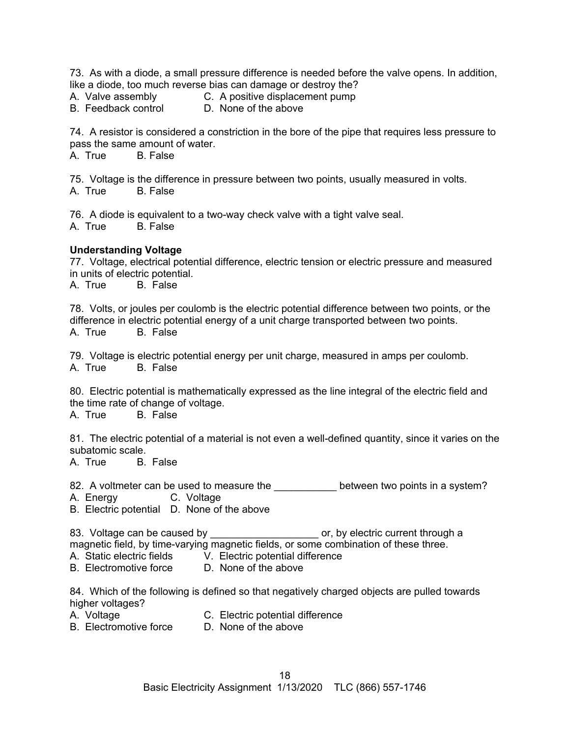73. As with a diode, a small pressure difference is needed before the valve opens. In addition, like a diode, too much reverse bias can damage or destroy the?

A. Valve assembly C. A positive displacement pump<br>B. Feedback control D. None of the above

D. None of the above

74. A resistor is considered a constriction in the bore of the pipe that requires less pressure to pass the same amount of water.

A. True B. False

75. Voltage is the difference in pressure between two points, usually measured in volts. A. True B. False

76. A diode is equivalent to a two-way check valve with a tight valve seal. A. True B. False

#### **Understanding Voltage**

77. Voltage, electrical potential difference, electric tension or electric pressure and measured in units of electric potential.<br>A. True B. False

**B.** False

78. Volts, or joules per coulomb is the electric potential difference between two points, or the difference in electric potential energy of a unit charge transported between two points. A. True B. False

79. Voltage is electric potential energy per unit charge, measured in amps per coulomb. A. True B. False

80. Electric potential is mathematically expressed as the line integral of the electric field and the time rate of change of voltage.

A. True B. False

81. The electric potential of a material is not even a well-defined quantity, since it varies on the subatomic scale.<br>A. True B.

B. False

82. A voltmeter can be used to measure the between two points in a system?

A. Energy C. Voltage

B. Electric potential D. None of the above

83. Voltage can be caused by \_\_\_\_\_\_\_\_\_\_\_\_\_\_\_\_\_\_\_\_\_\_\_\_ or, by electric current through a magnetic field, by time-varying magnetic fields, or some combination of these three.

A. Static electric fields V. Electric potential difference

B. Electromotive force D. None of the above

84. Which of the following is defined so that negatively charged objects are pulled towards higher voltages?<br>A. Voltage

- 
- A. Voltage **C. Electric potential difference** B. Electromotive force D. None of the above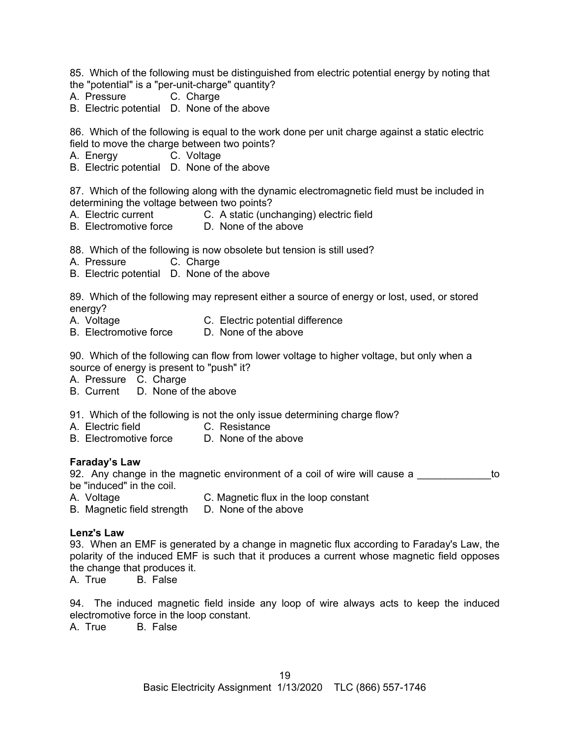85. Which of the following must be distinguished from electric potential energy by noting that the "potential" is a "per-unit-charge" quantity?

- A. Pressure C. Charge
- B. Electric potential D. None of the above

86. Which of the following is equal to the work done per unit charge against a static electric field to move the charge between two points?

- A. Energy C. Voltage
- B. Electric potential D. None of the above

87. Which of the following along with the dynamic electromagnetic field must be included in determining the voltage between two points?

- A. Electric current C. A static (unchanging) electric field
- B. Electromotive force D. None of the above

88. Which of the following is now obsolete but tension is still used?

- A. Pressure C. Charge
- B. Electric potential D. None of the above

89. Which of the following may represent either a source of energy or lost, used, or stored energy?

- A. Voltage **C. Electric potential difference**
- B. Electromotive force D. None of the above

90. Which of the following can flow from lower voltage to higher voltage, but only when a source of energy is present to "push" it?

- A. Pressure C. Charge
- B. Current D. None of the above
- 91. Which of the following is not the only issue determining charge flow?
- A. Electric field **C. Resistance**
- B. Electromotive force D. None of the above

## **Faraday's Law**

92. Any change in the magnetic environment of a coil of wire will cause a  $\sim$ be "induced" in the coil.

- A. Voltage C. Magnetic flux in the loop constant
- B. Magnetic field strength D. None of the above

## **Lenz's Law**

93. When an EMF is generated by a change in magnetic flux according to Faraday's Law, the polarity of the induced EMF is such that it produces a current whose magnetic field opposes the change that produces it.

A. True B. False

94. The induced magnetic field inside any loop of wire always acts to keep the induced electromotive force in the loop constant.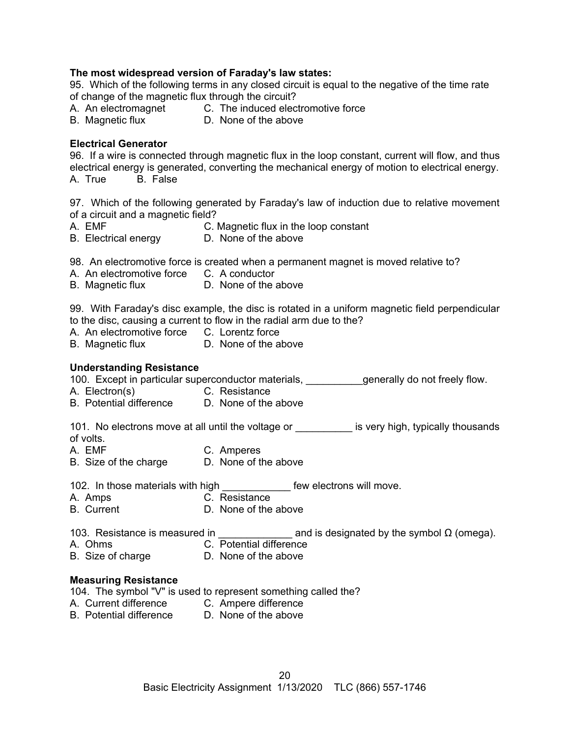## **The most widespread version of Faraday's law states:**

95. Which of the following terms in any closed circuit is equal to the negative of the time rate of change of the magnetic flux through the circuit?

- A. An electromagnet C. The induced electromotive force
- B. Magnetic flux D. None of the above

#### **Electrical Generator**

96. If a wire is connected through magnetic flux in the loop constant, current will flow, and thus electrical energy is generated, converting the mechanical energy of motion to electrical energy. A. True B. False

97. Which of the following generated by Faraday's law of induction due to relative movement of a circuit and a magnetic field?

- A. EMF C. Magnetic flux in the loop constant
- B. Electrical energy D. None of the above

98. An electromotive force is created when a permanent magnet is moved relative to?

- A. An electromotive force C. A conductor
- B. Magnetic flux **D.** None of the above

99. With Faraday's disc example, the disc is rotated in a uniform magnetic field perpendicular to the disc, causing a current to flow in the radial arm due to the?

- A. An electromotive force C. Lorentz force
- B. Magnetic flux D. None of the above

#### **Understanding Resistance**

100. Except in particular superconductor materials, \_\_\_\_\_\_\_\_\_\_generally do not freely flow.

- A. Electron(s) C. Resistance
- B. Potential difference D. None of the above

101. No electrons move at all until the voltage or \_\_\_\_\_\_\_\_\_\_ is very high, typically thousands of volts.

- A. EMF C. Amperes
- B. Size of the charge D. None of the above

102. In those materials with high **the search of the few electrons will move.** 

- A. Amps C. Resistance
- B. Current D. None of the above

103. Resistance is measured in  $\qquad \qquad \text{and is designated by the symbol } Ω \text{ (omega)}.$ 

- A. Ohms C. Potential difference
- B. Size of charge D. None of the above

#### **Measuring Resistance**

104. The symbol "V" is used to represent something called the?

- A. Current difference C. Ampere difference
- B. Potential difference D. None of the above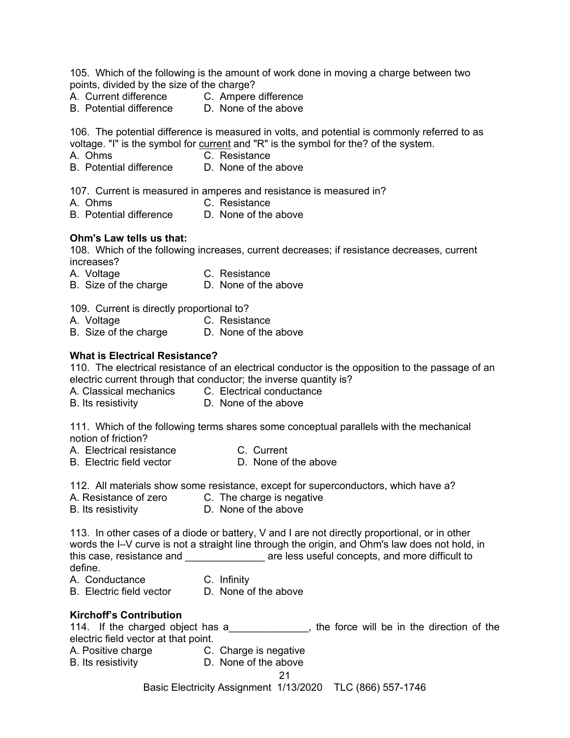105. Which of the following is the amount of work done in moving a charge between two points, divided by the size of the charge?

- -
- A. Current difference C. Ampere difference<br>B. Potential difference D. None of the above B. Potential difference

106. The potential difference is measured in volts, and potential is commonly referred to as voltage. "I" is the symbol for current and "R" is the symbol for the? of the system.

- A. Ohms C. Resistance
	-
- B. Potential difference D. None of the above

107. Current is measured in amperes and resistance is measured in?

- A. Ohms C. Resistance
- B. Potential difference D. None of the above

#### **Ohm's Law tells us that:**

108. Which of the following increases, current decreases; if resistance decreases, current increases?

A. Voltage C. Resistance

B. Size of the charge D. None of the above

109. Current is directly proportional to?

- A. Voltage C. Resistance
- B. Size of the charge D. None of the above

#### **What is Electrical Resistance?**

110. The electrical resistance of an electrical conductor is the opposition to the passage of an electric current through that conductor; the inverse quantity is?

- A. Classical mechanics C. Electrical conductance
- B. Its resistivity D. None of the above

111. Which of the following terms shares some conceptual parallels with the mechanical notion of friction?

- A. Electrical resistance C. Current<br>
B. Electric field vector 
B. None of the above
- B. Electric field vector

112. All materials show some resistance, except for superconductors, which have a?

- A. Resistance of zero C. The charge is negative
- B. Its resistivity **D.** None of the above

113. In other cases of a diode or battery, V and I are not directly proportional, or in other words the I–V curve is not a straight line through the origin, and Ohm's law does not hold, in this case, resistance and **the same in the set of the set of the set of the set of the set of the set of the set of the set of the set of the set of the set of the set of the set of the set of the set of the set of the set** define.

- A. Conductance C. Infinity
- B. Electric field vector D. None of the above

## **Kirchoff's Contribution**

| 114. If the charged object has a     |  |  |  | the force will be in the direction of the |  |
|--------------------------------------|--|--|--|-------------------------------------------|--|
| electric field vector at that point. |  |  |  |                                           |  |

- A. Positive charge **C.** Charge is negative
- B. Its resistivity D. None of the above

## 21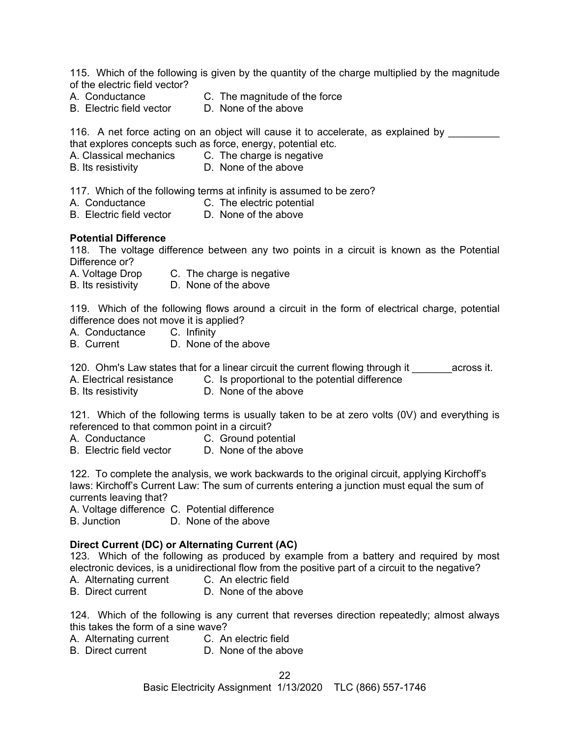115. Which of the following is given by the quantity of the charge multiplied by the magnitude of the electric field vector?

B. Electric field vector

A. Conductance C. The magnitude of the force<br>B. Electric field vector D. None of the above

116. A net force acting on an object will cause it to accelerate, as explained by that explores concepts such as force, energy, potential etc.

- A. Classical mechanics C. The charge is negative
- B. Its resistivity D. None of the above

117. Which of the following terms at infinity is assumed to be zero?

- A. Conductance C. The electric potential
- B. Electric field vector D. None of the above

#### **Potential Difference**

118. The voltage difference between any two points in a circuit is known as the Potential Difference or?

- A. Voltage Drop C. The charge is negative
- B. Its resistivity D. None of the above

119. Which of the following flows around a circuit in the form of electrical charge, potential difference does not move it is applied?

- A. Conductance C. Infinity
- B. Current D. None of the above

120. Ohm's Law states that for a linear circuit the current flowing through it across it.

A. Electrical resistance C. Is proportional to the potential difference

B. Its resistivity D. None of the above

121. Which of the following terms is usually taken to be at zero volts (0V) and everything is referenced to that common point in a circuit?

- A. Conductance **C.** Ground potential
- B. Electric field vector D. None of the above

122. To complete the analysis, we work backwards to the original circuit, applying Kirchoff's laws: Kirchoff's Current Law: The sum of currents entering a junction must equal the sum of currents leaving that?

A. Voltage difference C. Potential difference

B. Junction D. None of the above

## **Direct Current (DC) or Alternating Current (AC)**

123. Which of the following as produced by example from a battery and required by most electronic devices, is a unidirectional flow from the positive part of a circuit to the negative?

- A. Alternating current C. An electric field
- B. Direct current D. None of the above

124. Which of the following is any current that reverses direction repeatedly; almost always this takes the form of a sine wave?

- A. Alternating current C. An electric field
- B. Direct current **D.** None of the above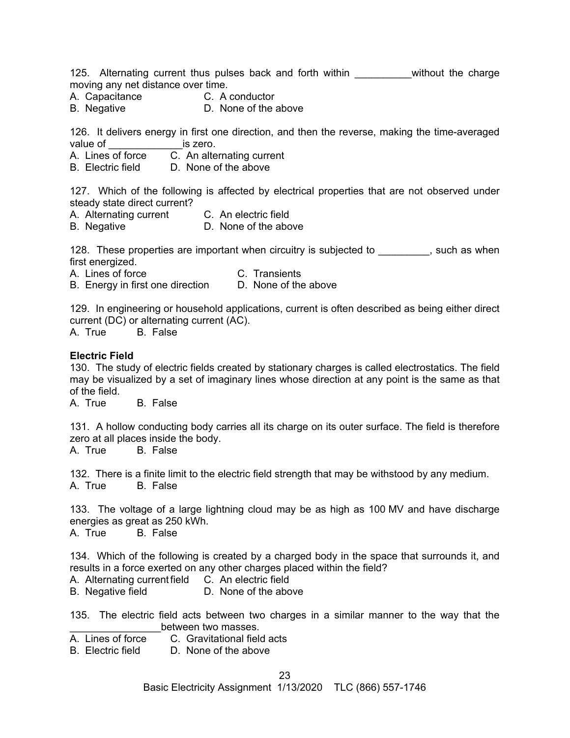125. Alternating current thus pulses back and forth within \_\_\_\_\_\_\_\_\_\_without the charge moving any net distance over time.

- A. Capacitance C. A conductor
- B. Negative D. None of the above

126. It delivers energy in first one direction, and then the reverse, making the time-averaged value of **the is zero.** 

A. Lines of force C. An alternating current

B. Electric field D. None of the above

127. Which of the following is affected by electrical properties that are not observed under steady state direct current?

- A. Alternating current C. An electric field
- B. Negative D. None of the above

128. These properties are important when circuitry is subjected to \_\_\_\_\_\_\_, such as when first energized.

A. Lines of force C. Transients

B. Energy in first one direction D. None of the above

129. In engineering or household applications, current is often described as being either direct current (DC) or alternating current (AC).

A. True B. False

#### **Electric Field**

130. The study of electric fields created by stationary charges is called electrostatics. The field may be visualized by a set of imaginary lines whose direction at any point is the same as that of the field.

A. True B. False

131. A hollow conducting body carries all its charge on its outer surface. The field is therefore zero at all places inside the body.

A. True B. False

132. There is a finite limit to the electric field strength that may be withstood by any medium. A. True B. False

133. The voltage of a large lightning cloud may be as high as 100 MV and have discharge energies as great as 250 kWh. A. True B. False

134. Which of the following is created by a charged body in the space that surrounds it, and results in a force exerted on any other charges placed within the field?

A. Alternating current field C. An electric field

B. Negative field **D.** None of the above

135. The electric field acts between two charges in a similar manner to the way that the between two masses.

A. Lines of force C. Gravitational field acts

B. Electric field D. None of the above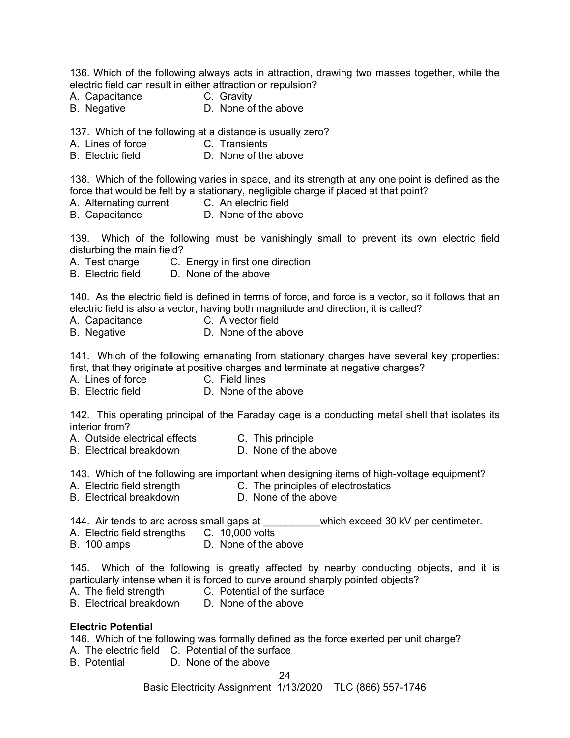136. Which of the following always acts in attraction, drawing two masses together, while the electric field can result in either attraction or repulsion?

- A. Capacitance C. Gravity
- B. Negative D. None of the above

137. Which of the following at a distance is usually zero?

- A. Lines of force **C. Transients**
- B. Electric field **D. None of the above**

138. Which of the following varies in space, and its strength at any one point is defined as the force that would be felt by a stationary, negligible charge if placed at that point?

- A. Alternating current C. An electric field
- B. Capacitance D. None of the above

139. Which of the following must be vanishingly small to prevent its own electric field disturbing the main field?

- A. Test charge C. Energy in first one direction<br>B. Electric field D. None of the above
- D. None of the above

140. As the electric field is defined in terms of force, and force is a vector, so it follows that an electric field is also a vector, having both magnitude and direction, it is called?

- A. Capacitance C. A vector field
- B. Negative **D.** None of the above

141. Which of the following emanating from stationary charges have several key properties: first, that they originate at positive charges and terminate at negative charges?

- A. Lines of force **C.** Field lines
- B. Electric field D. None of the above

142. This operating principal of the Faraday cage is a conducting metal shell that isolates its interior from?

- A. Outside electrical effects C. This principle
- B. Electrical breakdown D. None of the above

143. Which of the following are important when designing items of high-voltage equipment?

- A. Electric field strength C. The principles of electrostatics
- B. Electrical breakdown D. None of the above
- 144. Air tends to arc across small gaps at  $\blacksquare$  which exceed 30 kV per centimeter.
- A. Electric field strengths C. 10,000 volts
- B. 100 amps D. None of the above

145. Which of the following is greatly affected by nearby conducting objects, and it is particularly intense when it is forced to curve around sharply pointed objects?

- A. The field strength C. Potential of the surface
- B. Electrical breakdown D. None of the above

## **Electric Potential**

146. Which of the following was formally defined as the force exerted per unit charge?

- A. The electric field C. Potential of the surface
- B. Potential D. None of the above

## 24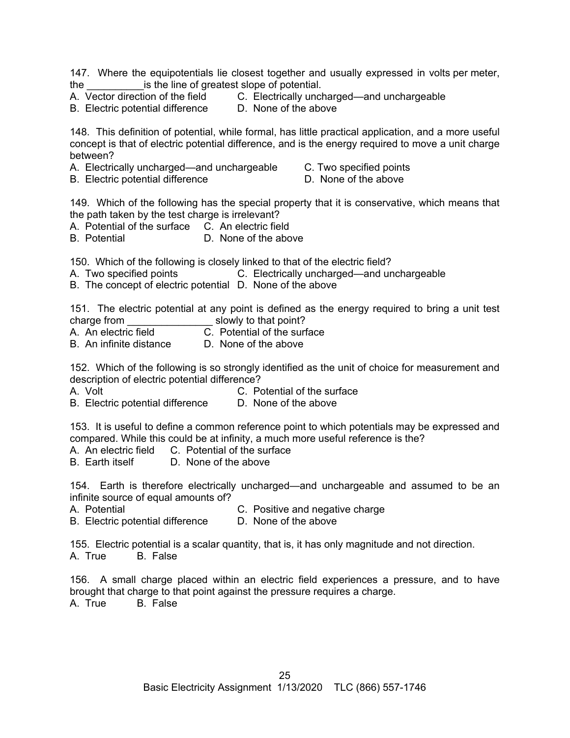147. Where the equipotentials lie closest together and usually expressed in volts per meter, the same is the line of greatest slope of potential.<br>A Vector direction of the field C. Electrically unclear-

B. Electric potential difference

C. Electrically uncharged—and unchargeable<br>D. None of the above

148. This definition of potential, while formal, has little practical application, and a more useful concept is that of electric potential difference, and is the energy required to move a unit charge between?

- A. Electrically uncharged—and unchargeable C. Two specified points
- B. Electric potential difference **D.** None of the above

149. Which of the following has the special property that it is conservative, which means that the path taken by the test charge is irrelevant?

- A. Potential of the surface C. An electric field
- B. Potential **D.** None of the above

150. Which of the following is closely linked to that of the electric field?<br>A. Two specified points C. Electrically uncharged—and un

C. Electrically uncharged—and unchargeable

B. The concept of electric potential D. None of the above

151. The electric potential at any point is defined as the energy required to bring a unit test charge from example in the slowly to that point?

A. An electric field C. Potential of the surface

B. An infinite distance D. None of the above

152. Which of the following is so strongly identified as the unit of choice for measurement and description of electric potential difference?

A. Volt C. Potential of the surface

B. Electric potential difference D. None of the above

153. It is useful to define a common reference point to which potentials may be expressed and compared. While this could be at infinity, a much more useful reference is the?

- A. An electric field C. Potential of the surface<br>B. Earth itself D. None of the above
- D. None of the above

154. Earth is therefore electrically uncharged—and unchargeable and assumed to be an infinite source of equal amounts of?

A. Potential C. Positive and negative charge

B. Electric potential difference D. None of the above

155. Electric potential is a scalar quantity, that is, it has only magnitude and not direction. A. True B. False

156. A small charge placed within an electric field experiences a pressure, and to have brought that charge to that point against the pressure requires a charge.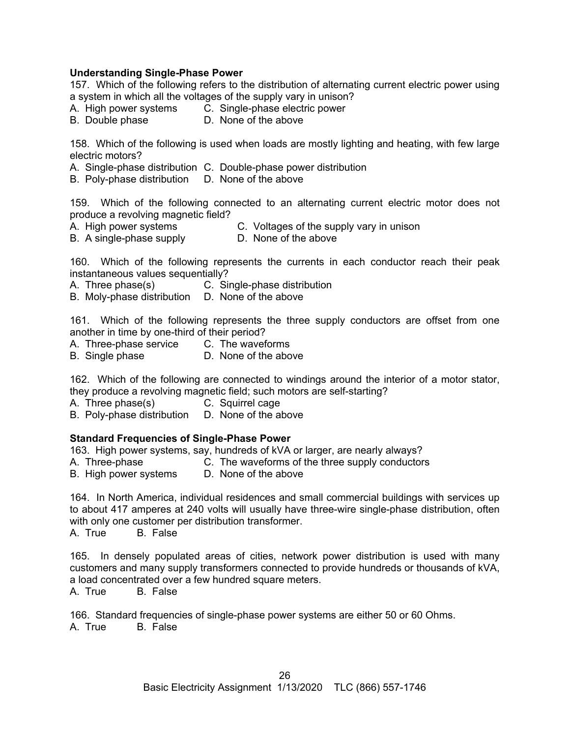## **Understanding Single-Phase Power**

157. Which of the following refers to the distribution of alternating current electric power using a system in which all the voltages of the supply vary in unison?

- A. High power systems C. Single-phase electric power
- B. Double phase D. None of the above

158. Which of the following is used when loads are mostly lighting and heating, with few large electric motors?

- A. Single-phase distribution C. Double-phase power distribution
- B. Poly-phase distribution D. None of the above

159. Which of the following connected to an alternating current electric motor does not produce a revolving magnetic field?

- A. High power systems C. Voltages of the supply vary in unison
- B. A single-phase supply **D.** None of the above

160. Which of the following represents the currents in each conductor reach their peak instantaneous values sequentially?

- A. Three phase(s) C. Single-phase distribution
- B. Moly-phase distribution D. None of the above

161. Which of the following represents the three supply conductors are offset from one another in time by one-third of their period?

- A. Three-phase service C. The waveforms
- B. Single phase D. None of the above

162. Which of the following are connected to windings around the interior of a motor stator, they produce a revolving magnetic field; such motors are self-starting?

- A. Three phase(s) C. Squirrel cage
- B. Poly-phase distribution D. None of the above

## **Standard Frequencies of Single-Phase Power**

163. High power systems, say, hundreds of kVA or larger, are nearly always?

- A. Three-phase C. The waveforms of the three supply conductors
- B. High power systems D. None of the above

164. In North America, individual residences and small commercial buildings with services up to about 417 amperes at 240 volts will usually have three-wire single-phase distribution, often with only one customer per distribution transformer.

A. True B. False

165. In densely populated areas of cities, network power distribution is used with many customers and many supply transformers connected to provide hundreds or thousands of kVA, a load concentrated over a few hundred square meters.

A. True B. False

166. Standard frequencies of single-phase power systems are either 50 or 60 Ohms. A. True B. False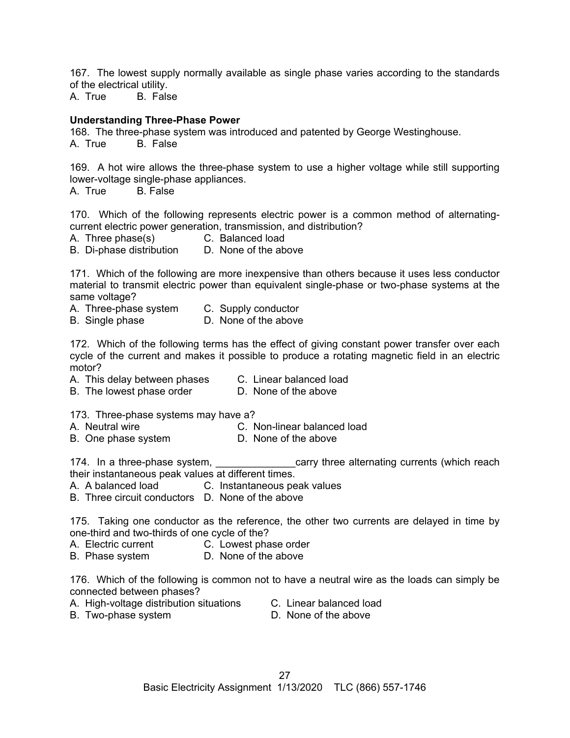167. The lowest supply normally available as single phase varies according to the standards of the electrical utility.

A. True B. False

#### **Understanding Three-Phase Power**

168. The three-phase system was introduced and patented by George Westinghouse.

A. True B. False

169. A hot wire allows the three-phase system to use a higher voltage while still supporting lower-voltage single-phase appliances.

B. False

170. Which of the following represents electric power is a common method of alternatingcurrent electric power generation, transmission, and distribution?

A. Three phase(s) C. Balanced load

B. Di-phase distribution D. None of the above

171. Which of the following are more inexpensive than others because it uses less conductor material to transmit electric power than equivalent single-phase or two-phase systems at the same voltage?

- A. Three-phase system C. Supply conductor
- B. Single phase D. None of the above

172. Which of the following terms has the effect of giving constant power transfer over each cycle of the current and makes it possible to produce a rotating magnetic field in an electric motor?

- A. This delay between phases C. Linear balanced load
- B. The lowest phase order **D.** None of the above

173. Three-phase systems may have a?

- A. Neutral wire **C. Non-linear balanced load**
- B. One phase system D. None of the above

174. In a three-phase system, the same carry three alternating currents (which reach their instantaneous peak values at different times.

A. A balanced load C. Instantaneous peak values

B. Three circuit conductors D. None of the above

175. Taking one conductor as the reference, the other two currents are delayed in time by one-third and two-thirds of one cycle of the?

- A. Electric current C. Lowest phase order
- B. Phase system D. None of the above

176. Which of the following is common not to have a neutral wire as the loads can simply be connected between phases?

- A. High-voltage distribution situations C. Linear balanced load
	-
- B. Two-phase system D. None of the above
-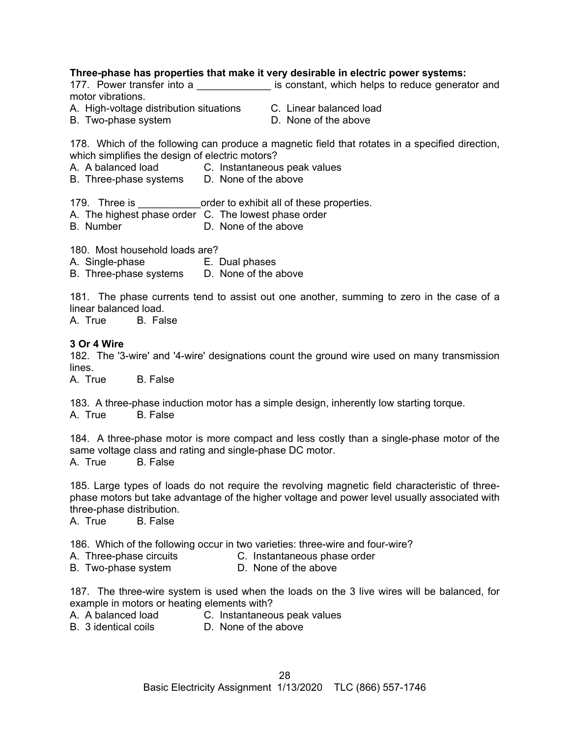#### **Three-phase has properties that make it very desirable in electric power systems:**

177. Power transfer into a \_\_\_\_\_\_\_\_\_\_\_\_\_\_\_ is constant, which helps to reduce generator and motor vibrations.

A. High-voltage distribution situations C. Linear balanced load

B. Two-phase system D. None of the above

- 
- 

178. Which of the following can produce a magnetic field that rotates in a specified direction, which simplifies the design of electric motors?

- A. A balanced load C. Instantaneous peak values
- B. Three-phase systems D. None of the above

179. Three is **the contract of these properties.** 

- A. The highest phase order C. The lowest phase order
- B. Number D. None of the above

180. Most household loads are?

- A. Single-phase E. Dual phases
- B. Three-phase systems D. None of the above

181. The phase currents tend to assist out one another, summing to zero in the case of a linear balanced load.

A. True B. False

#### **3 Or 4 Wire**

182. The '3-wire' and '4-wire' designations count the ground wire used on many transmission lines.

A. True B. False

183. A three-phase induction motor has a simple design, inherently low starting torque. A. True B. False

184. A three-phase motor is more compact and less costly than a single-phase motor of the same voltage class and rating and single-phase DC motor.<br>A. True B. False B. False

185. Large types of loads do not require the revolving magnetic field characteristic of threephase motors but take advantage of the higher voltage and power level usually associated with three-phase distribution.

A. True B. False

186. Which of the following occur in two varieties: three-wire and four-wire?

- A. Three-phase circuits **C.** Instantaneous phase order
- B. Two-phase system **D.** None of the above

187. The three-wire system is used when the loads on the 3 live wires will be balanced, for example in motors or heating elements with?

- A. A balanced load C. Instantaneous peak values
- B. 3 identical coils D. None of the above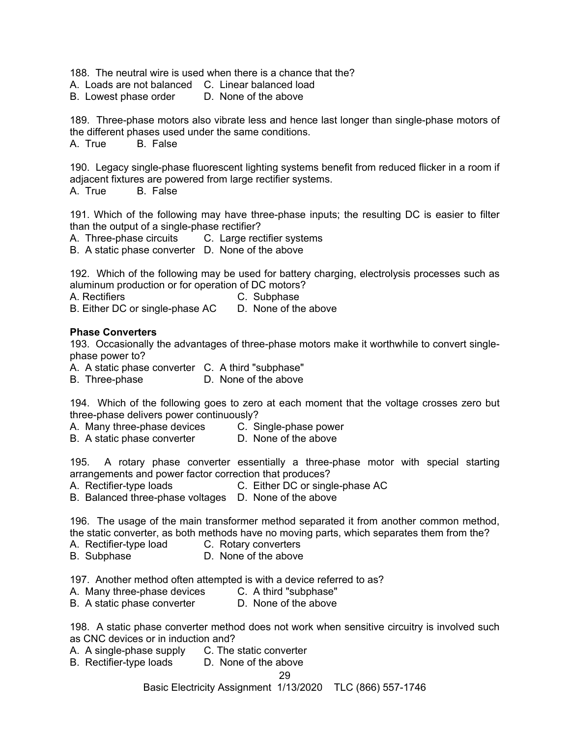188. The neutral wire is used when there is a chance that the?

A. Loads are not balanced C. Linear balanced load

B. Lowest phase order D. None of the above

189. Three-phase motors also vibrate less and hence last longer than single-phase motors of the different phases used under the same conditions.

A. True B. False

190. Legacy single-phase fluorescent lighting systems benefit from reduced flicker in a room if adjacent fixtures are powered from large rectifier systems.

A. True B. False

191. Which of the following may have three-phase inputs; the resulting DC is easier to filter than the output of a single-phase rectifier?

A. Three-phase circuits C. Large rectifier systems

B. A static phase converter D. None of the above

192. Which of the following may be used for battery charging, electrolysis processes such as aluminum production or for operation of DC motors?

A. Rectifiers **C.** Subphase

B. Either DC or single-phase AC D. None of the above

#### **Phase Converters**

193. Occasionally the advantages of three-phase motors make it worthwhile to convert singlephase power to?

A. A static phase converter C. A third "subphase"

B. Three-phase D. None of the above

194. Which of the following goes to zero at each moment that the voltage crosses zero but three-phase delivers power continuously?

A. Many three-phase devices C. Single-phase power

B. A static phase converter **D. None of the above** 

195. A rotary phase converter essentially a three-phase motor with special starting arrangements and power factor correction that produces?

A. Rectifier-type loads C. Either DC or single-phase AC

B. Balanced three-phase voltages D. None of the above

196. The usage of the main transformer method separated it from another common method, the static converter, as both methods have no moving parts, which separates them from the?

- A. Rectifier-type load C. Rotary converters
- B. Subphase **D.** None of the above

197. Another method often attempted is with a device referred to as?

A. Many three-phase devices C. A third "subphase"

B. A static phase converter **D.** None of the above

198. A static phase converter method does not work when sensitive circuitry is involved such as CNC devices or in induction and?

- A. A single-phase supply C. The static converter
- B. Rectifier-type loads D. None of the above

## 29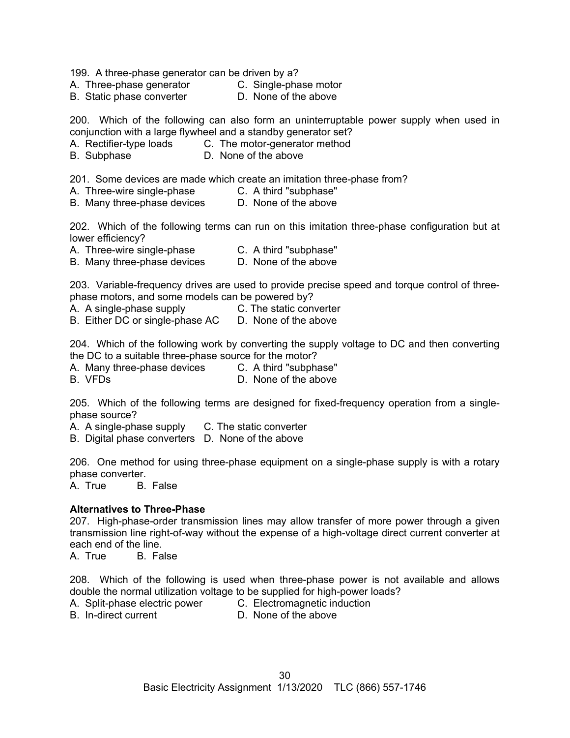199. A three-phase generator can be driven by a?

A. Three-phase generator C. Single-phase motor

B. Static phase converter **D.** None of the above

200. Which of the following can also form an uninterruptable power supply when used in

- conjunction with a large flywheel and a standby generator set?<br>A. Rectifier-type loads C. The motor-generator method C. The motor-generator method
- B. Subphase D. None of the above

201. Some devices are made which create an imitation three-phase from?

- A. Three-wire single-phase **C.** A third "subphase"
- B. Many three-phase devices D. None of the above

202. Which of the following terms can run on this imitation three-phase configuration but at lower efficiency?

- A. Three-wire single-phase C. A third "subphase"
- B. Many three-phase devices D. None of the above

203. Variable-frequency drives are used to provide precise speed and torque control of threephase motors, and some models can be powered by?

- A. A single-phase supply E. The static converter
- B. Either DC or single-phase AC D. None of the above

204. Which of the following work by converting the supply voltage to DC and then converting the DC to a suitable three-phase source for the motor?

A. Many three-phase devices C. A third "subphase"

B. VFDs D. None of the above

205. Which of the following terms are designed for fixed-frequency operation from a singlephase source?

A. A single-phase supply C. The static converter

B. Digital phase converters D. None of the above

206. One method for using three-phase equipment on a single-phase supply is with a rotary phase converter.

A. True B. False

#### **Alternatives to Three-Phase**

207. High-phase-order transmission lines may allow transfer of more power through a given transmission line right-of-way without the expense of a high-voltage direct current converter at each end of the line.

A. True B. False

208. Which of the following is used when three-phase power is not available and allows double the normal utilization voltage to be supplied for high-power loads?

A. Split-phase electric power C. Electromagnetic induction<br>B. In-direct current C. None of the above

D. None of the above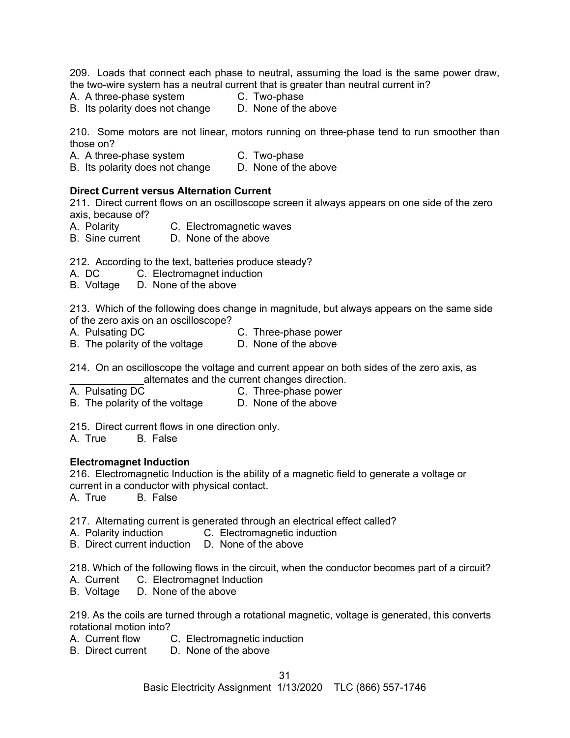209. Loads that connect each phase to neutral, assuming the load is the same power draw, the two-wire system has a neutral current that is greater than neutral current in?

- A. A three-phase system C. Two-phase
	-

B. Its polarity does not change D. None of the above

210. Some motors are not linear, motors running on three-phase tend to run smoother than those on?

A. A three-phase system C. Two-phase

B. Its polarity does not change D. None of the above

## **Direct Current versus Alternation Current**

211. Direct current flows on an oscilloscope screen it always appears on one side of the zero axis, because of?

- A. Polarity C. Electromagnetic waves
- B. Sine current D. None of the above

212. According to the text, batteries produce steady?

- A. DC C. Electromagnet induction
- B. Voltage D. None of the above

213. Which of the following does change in magnitude, but always appears on the same side of the zero axis on an oscilloscope?

- A. Pulsating DC C. Three-phase power
- B. The polarity of the voltage D. None of the above

214. On an oscilloscope the voltage and current appear on both sides of the zero axis, as alternates and the current changes direction.

- A. Pulsating DC C. Three-phase power
- B. The polarity of the voltage D. None of the above

215. Direct current flows in one direction only.

A. True B. False

## **Electromagnet Induction**

216. Electromagnetic Induction is the ability of a magnetic field to generate a voltage or current in a conductor with physical contact.

A. True B. False

- 217. Alternating current is generated through an electrical effect called?
- A. Polarity induction C. Electromagnetic induction
- B. Direct current induction D. None of the above

218. Which of the following flows in the circuit, when the conductor becomes part of a circuit?

- A. Current C. Electromagnet Induction
- B. Voltage D. None of the above

219. As the coils are turned through a rotational magnetic, voltage is generated, this converts rotational motion into?

- A. Current flow C. Electromagnetic induction
- B. Direct current D. None of the above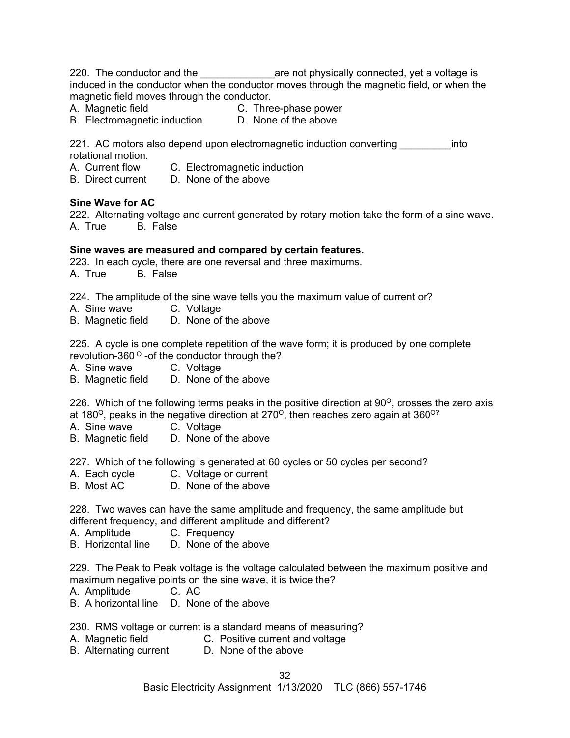220. The conductor and the **constand the the set and physically connected**, yet a voltage is induced in the conductor when the conductor moves through the magnetic field, or when the magnetic field moves through the conductor.

- A. Magnetic field **C. Three-phase power**
- B. Electromagnetic induction D. None of the above

221. AC motors also depend upon electromagnetic induction converting example into rotational motion.

- A. Current flow C. Electromagnetic induction
- B. Direct current D. None of the above

#### **Sine Wave for AC**

222. Alternating voltage and current generated by rotary motion take the form of a sine wave. A. True B. False

#### **Sine waves are measured and compared by certain features.**

223. In each cycle, there are one reversal and three maximums. A. True B. False

224. The amplitude of the sine wave tells you the maximum value of current or?

- A. Sine wave C. Voltage
- B. Magnetic field D. None of the above

225. A cycle is one complete repetition of the wave form; it is produced by one complete revolution-360 $^{\circ}$  -of the conductor through the?

- A. Sine wave C. Voltage
- B. Magnetic field D. None of the above

226. Which of the following terms peaks in the positive direction at  $90^{\circ}$ , crosses the zero axis at 180<sup>o</sup>, peaks in the negative direction at 270<sup>o</sup>, then reaches zero again at 360<sup>o?</sup>

- A. Sine wave C. Voltage
- B. Magnetic field D. None of the above

227. Which of the following is generated at 60 cycles or 50 cycles per second?

- A. Each cycle C. Voltage or current
- B. Most AC D. None of the above

228. Two waves can have the same amplitude and frequency, the same amplitude but different frequency, and different amplitude and different?

A. Amplitude C. Frequency

B. Horizontal line D. None of the above

229. The Peak to Peak voltage is the voltage calculated between the maximum positive and maximum negative points on the sine wave, it is twice the?

- A. Amplitude C. AC
- B. A horizontal line D. None of the above

230. RMS voltage or current is a standard means of measuring?

- A. Magnetic field **C. Positive current and voltage**
- B. Alternating current D. None of the above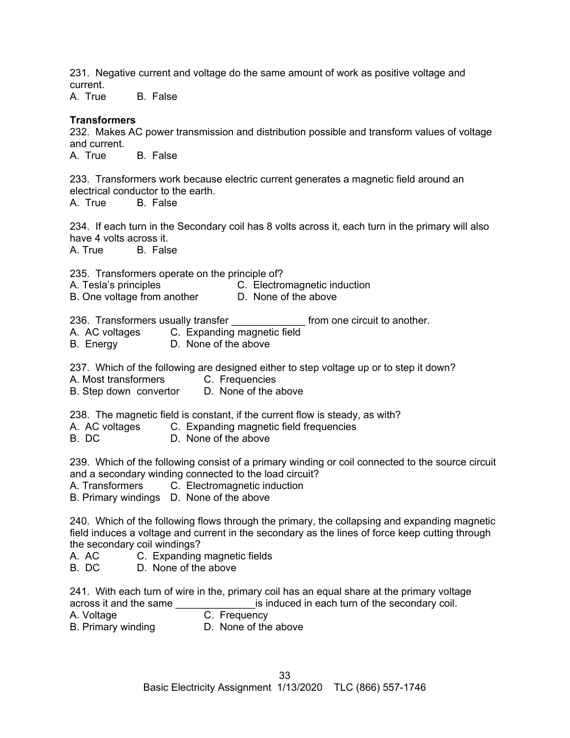231. Negative current and voltage do the same amount of work as positive voltage and current.

A. True B. False

## **Transformers**

232. Makes AC power transmission and distribution possible and transform values of voltage and current.

A. True B. False

233. Transformers work because electric current generates a magnetic field around an electrical conductor to the earth.

A. True B. False

234. If each turn in the Secondary coil has 8 volts across it, each turn in the primary will also have 4 volts across it.

A. True B. False

235. Transformers operate on the principle of?

- A. Tesla's principles **C. Electromagnetic induction**
- B. One voltage from another **D.** None of the above
- 236. Transformers usually transfer entity and the one circuit to another.
- A. AC voltages C. Expanding magnetic field
- B. Energy D. None of the above

237. Which of the following are designed either to step voltage up or to step it down?

- A. Most transformers **C. Frequencies**
- B. Step down convertor D. None of the above

238. The magnetic field is constant, if the current flow is steady, as with?

- A. AC voltages C. Expanding magnetic field frequencies
- B. DC D. None of the above

239. Which of the following consist of a primary winding or coil connected to the source circuit and a secondary winding connected to the load circuit?

A. Transformers C. Electromagnetic induction

B. Primary windings D. None of the above

240. Which of the following flows through the primary, the collapsing and expanding magnetic field induces a voltage and current in the secondary as the lines of force keep cutting through the secondary coil windings?

- A. AC C. Expanding magnetic fields
- B. DC D. None of the above

241. With each turn of wire in the, primary coil has an equal share at the primary voltage across it and the same \_\_\_\_\_\_\_\_\_\_\_\_\_\_\_\_\_\_\_\_\_is induced in each turn of the secondary coil.<br>A. Voltage degree contract C. Frequency

C. Frequency

B. Primary winding **D. None of the above**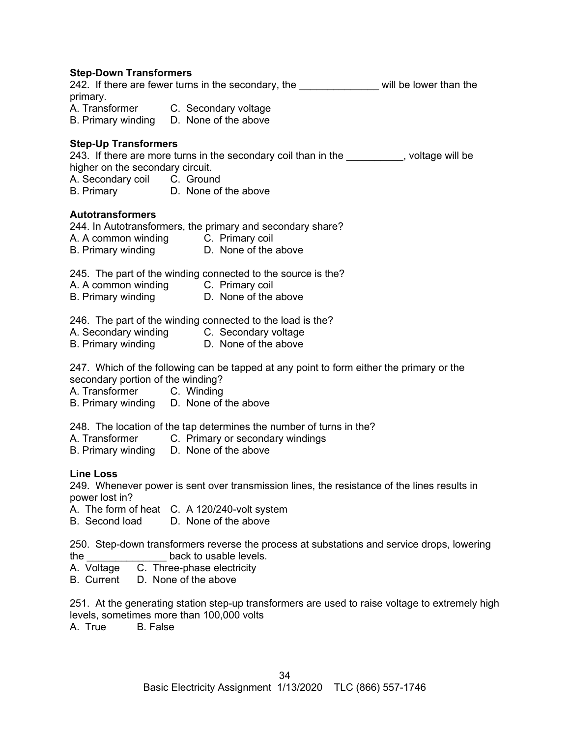#### **Step-Down Transformers**

242. If there are fewer turns in the secondary, the <u>entitled and will be lower than the</u> primary.

A. Transformer C. Secondary voltage B. Primary winding D. None of the above

#### **Step-Up Transformers**

243. If there are more turns in the secondary coil than in the secondary coll state will be higher on the secondary circuit. A. Secondary coil C. Ground

B. Primary **D.** None of the above

## **Autotransformers**

244. In Autotransformers, the primary and secondary share?

A. A common winding C. Primary coil

B. Primary winding **D.** None of the above

245. The part of the winding connected to the source is the?

- A. A common winding C. Primary coil
- B. Primary winding D. None of the above

246. The part of the winding connected to the load is the?

- A. Secondary winding C. Secondary voltage
- B. Primary winding **D.** None of the above

247. Which of the following can be tapped at any point to form either the primary or the secondary portion of the winding?

A. Transformer C. Winding

B. Primary winding D. None of the above

- 248. The location of the tap determines the number of turns in the?
- A. Transformer C. Primary or secondary windings

B. Primary winding D. None of the above

## **Line Loss**

249. Whenever power is sent over transmission lines, the resistance of the lines results in power lost in?

A. The form of heat C. A 120/240-volt system

B. Second load D. None of the above

250. Step-down transformers reverse the process at substations and service drops, lowering the the back to usable levels.

- A. Voltage C. Three-phase electricity
- B. Current D. None of the above

251. At the generating station step-up transformers are used to raise voltage to extremely high levels, sometimes more than 100,000 volts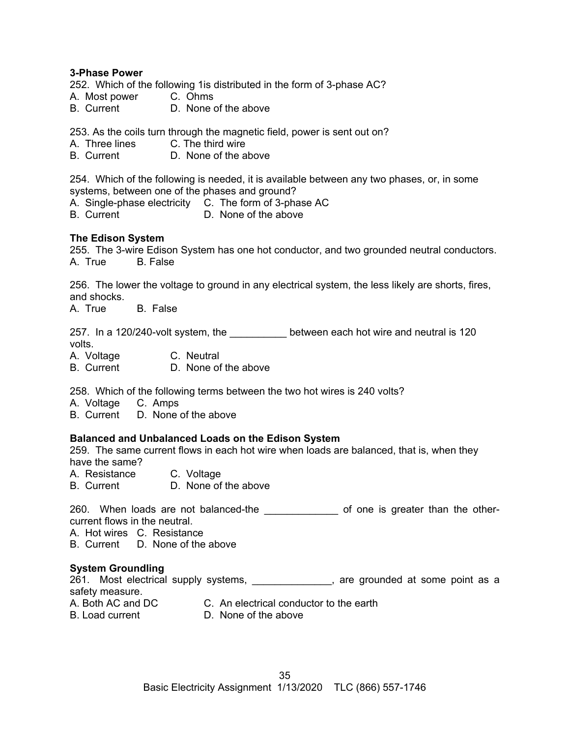#### **3-Phase Power**

252. Which of the following 1is distributed in the form of 3-phase AC?

- A. Most power C. Ohms
- B. Current D. None of the above

253. As the coils turn through the magnetic field, power is sent out on?

- A. Three lines C. The third wire
- B. Current D. None of the above

254. Which of the following is needed, it is available between any two phases, or, in some systems, between one of the phases and ground?

A. Single-phase electricity C. The form of 3-phase AC

B. Current D. None of the above

#### **The Edison System**

255. The 3-wire Edison System has one hot conductor, and two grounded neutral conductors. A. True B. False

256. The lower the voltage to ground in any electrical system, the less likely are shorts, fires, and shocks.

A. True B. False

257. In a 120/240-volt system, the \_\_\_\_\_\_\_\_\_\_\_\_ between each hot wire and neutral is 120 volts.

A. Voltage C. Neutral

B. Current D. None of the above

258. Which of the following terms between the two hot wires is 240 volts?

A. Voltage C. Amps

B. Current D. None of the above

## **Balanced and Unbalanced Loads on the Edison System**

259. The same current flows in each hot wire when loads are balanced, that is, when they have the same?

A. Resistance C. Voltage

B. Current D. None of the above

260. When loads are not balanced-the \_\_\_\_\_\_\_\_\_\_\_\_\_\_\_ of one is greater than the othercurrent flows in the neutral.

A. Hot wires C. Resistance

B. Current D. None of the above

## **System Groundling**

261. Most electrical supply systems, \_\_\_\_\_\_\_\_\_\_\_\_\_\_, are grounded at some point as a safety measure.

- 
- A. Both AC and DC C. An electrical conductor to the earth<br>B. Load current D. None of the above D. None of the above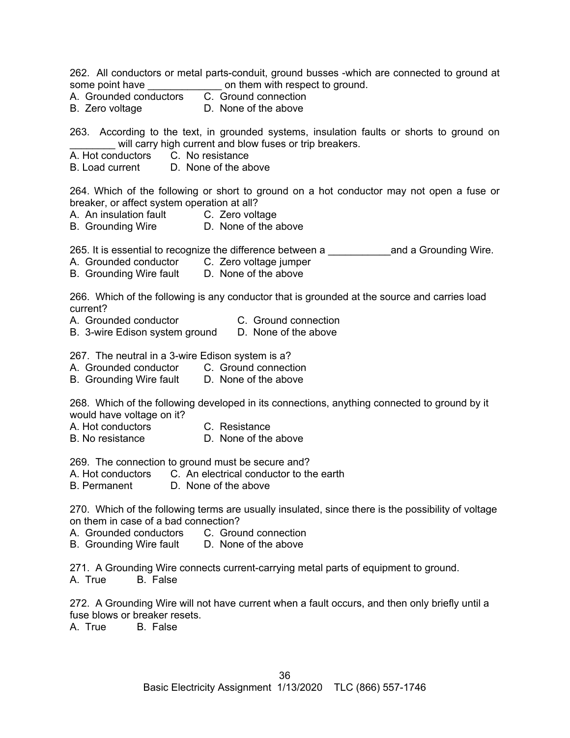262. All conductors or metal parts-conduit, ground busses -which are connected to ground at some point have **Example 20** on them with respect to ground.

- A. Grounded conductors C. Ground connection
- B. Zero voltage **D.** None of the above

263. According to the text, in grounded systems, insulation faults or shorts to ground on will carry high current and blow fuses or trip breakers.

- A. Hot conductors C. No resistance
- B. Load current D. None of the above

264. Which of the following or short to ground on a hot conductor may not open a fuse or breaker, or affect system operation at all?

- A. An insulation fault C. Zero voltage
- B. Grounding Wire D. None of the above

265. It is essential to recognize the difference between a subsequently and a Grounding Wire.

- A. Grounded conductor C. Zero voltage jumper
- B. Grounding Wire fault D. None of the above

266. Which of the following is any conductor that is grounded at the source and carries load current?

- A. Grounded conductor C. Ground connection
- B. 3-wire Edison system ground D. None of the above

267. The neutral in a 3-wire Edison system is a?

- A. Grounded conductor C. Ground connection<br>B. Grounding Wire fault D. None of the above
- B. Grounding Wire fault

268. Which of the following developed in its connections, anything connected to ground by it would have voltage on it?

- A. Hot conductors C. Resistance
- B. No resistance D. None of the above

269. The connection to ground must be secure and?

- A. Hot conductors C. An electrical conductor to the earth
- B. Permanent D. None of the above

270. Which of the following terms are usually insulated, since there is the possibility of voltage on them in case of a bad connection?

- A. Grounded conductors C. Ground connection
- B. Grounding Wire fault D. None of the above

271. A Grounding Wire connects current-carrying metal parts of equipment to ground. A. True B. False

272. A Grounding Wire will not have current when a fault occurs, and then only briefly until a fuse blows or breaker resets.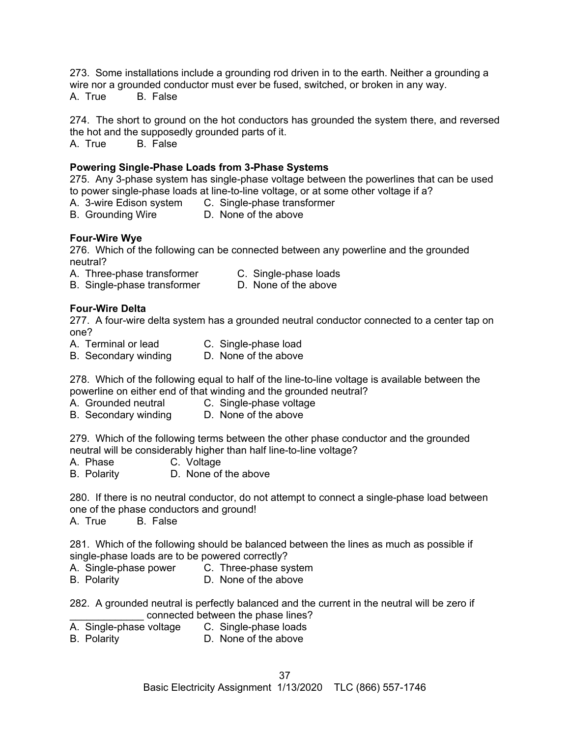273. Some installations include a grounding rod driven in to the earth. Neither a grounding a wire nor a grounded conductor must ever be fused, switched, or broken in any way. A. True B. False

274. The short to ground on the hot conductors has grounded the system there, and reversed the hot and the supposedly grounded parts of it.

A. True B. False

## **Powering Single-Phase Loads from 3-Phase Systems**

275. Any 3-phase system has single-phase voltage between the powerlines that can be used to power single-phase loads at line-to-line voltage, or at some other voltage if a?

- A. 3-wire Edison system C. Single-phase transformer
- B. Grounding Wire D. None of the above

## **Four-Wire Wye**

276. Which of the following can be connected between any powerline and the grounded neutral?

A. Three-phase transformer C. Single-phase loads

B. Single-phase transformer D. None of the above

## **Four-Wire Delta**

277. A four-wire delta system has a grounded neutral conductor connected to a center tap on one?

- A. Terminal or lead C. Single-phase load<br>B. Secondary winding D. None of the above
- B. Secondary winding

278. Which of the following equal to half of the line-to-line voltage is available between the powerline on either end of that winding and the grounded neutral?

- A. Grounded neutral C. Single-phase voltage
- B. Secondary winding D. None of the above

279. Which of the following terms between the other phase conductor and the grounded neutral will be considerably higher than half line-to-line voltage?

- C. Voltage
- B. Polarity D. None of the above

280. If there is no neutral conductor, do not attempt to connect a single-phase load between one of the phase conductors and ground!

A. True B. False

281. Which of the following should be balanced between the lines as much as possible if single-phase loads are to be powered correctly?

- A. Single-phase power C. Three-phase system
- B. Polarity D. None of the above

282. A grounded neutral is perfectly balanced and the current in the neutral will be zero if connected between the phase lines?

- A. Single-phase voltage C. Single-phase loads
- B. Polarity D. None of the above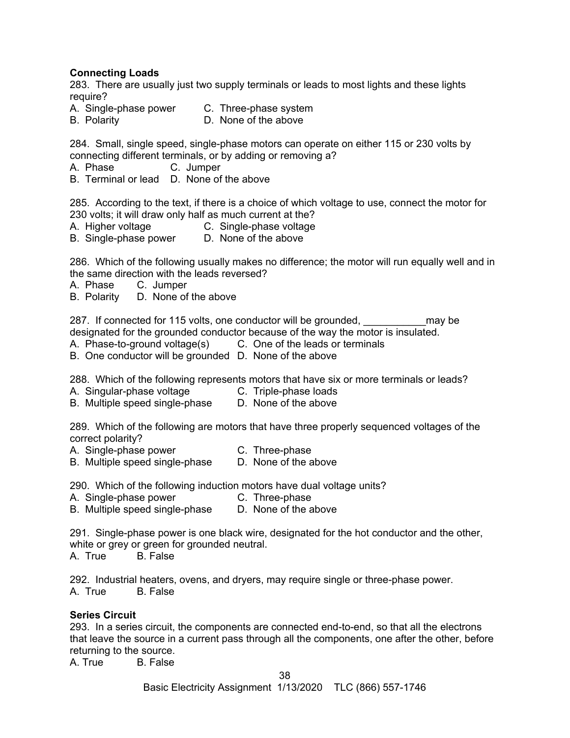## **Connecting Loads**

283. There are usually just two supply terminals or leads to most lights and these lights require?

- A. Single-phase power C. Three-phase system
	-
- B. Polarity D. None of the above

284. Small, single speed, single-phase motors can operate on either 115 or 230 volts by connecting different terminals, or by adding or removing a?

- A. Phase C. Jumper
- B. Terminal or lead D. None of the above

285. According to the text, if there is a choice of which voltage to use, connect the motor for 230 volts; it will draw only half as much current at the?

- A. Higher voltage C. Single-phase voltage
- B. Single-phase power D. None of the above

286. Which of the following usually makes no difference; the motor will run equally well and in the same direction with the leads reversed?

- A. Phase C. Jumper
- B. Polarity D. None of the above

287. If connected for 115 volts, one conductor will be grounded, may be designated for the grounded conductor because of the way the motor is insulated.

- A. Phase-to-ground voltage(s) C. One of the leads or terminals
- B. One conductor will be grounded D. None of the above

288. Which of the following represents motors that have six or more terminals or leads?

- A. Singular-phase voltage C. Triple-phase loads
- B. Multiple speed single-phase D. None of the above

289. Which of the following are motors that have three properly sequenced voltages of the correct polarity?

- A. Single-phase power **C.** Three-phase
- B. Multiple speed single-phase D. None of the above

290. Which of the following induction motors have dual voltage units?

- A. Single-phase power **C.** Three-phase
- B. Multiple speed single-phase D. None of the above

291. Single-phase power is one black wire, designated for the hot conductor and the other, white or grey or green for grounded neutral.

A. True B. False

292. Industrial heaters, ovens, and dryers, may require single or three-phase power. A. True B. False

#### **Series Circuit**

293. In a series circuit, the components are connected end-to-end, so that all the electrons that leave the source in a current pass through all the components, one after the other, before returning to the source.